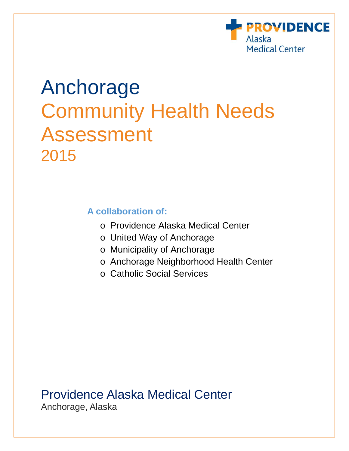

# Anchorage Community Health Needs Assessment 2015

# **A collaboration of:**

- o Providence Alaska Medical Center
- o United Way of Anchorage
- o Municipality of Anchorage
- o Anchorage Neighborhood Health Center
- o Catholic Social Services

Providence Alaska Medical Center Anchorage, Alaska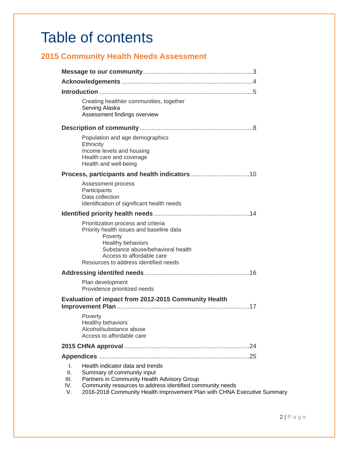# Table of contents

# **2015 Community Health Needs Assessment**

|                               | Creating healthier communities, together<br>Serving Alaska<br>Assessment findings overview                                                                                                                                                            |
|-------------------------------|-------------------------------------------------------------------------------------------------------------------------------------------------------------------------------------------------------------------------------------------------------|
|                               |                                                                                                                                                                                                                                                       |
|                               | Population and age demographics<br>Ethnicity<br>Income levels and housing<br>Health care and coverage<br>Health and well-being                                                                                                                        |
|                               |                                                                                                                                                                                                                                                       |
|                               | Assessment process<br>Participants<br>Data collection<br>Identification of significant health needs                                                                                                                                                   |
|                               |                                                                                                                                                                                                                                                       |
|                               | Prioritization process and criteria<br>Priority health issues and baseline data<br>Poverty<br>Healthy behaviors<br>Substance abuse/behavioral health<br>Access to affordable care<br>Resources to address identified needs                            |
|                               |                                                                                                                                                                                                                                                       |
|                               | Plan development<br>Providence prioritized needs                                                                                                                                                                                                      |
|                               | Evaluation of impact from 2012-2015 Community Health                                                                                                                                                                                                  |
|                               | Poverty<br>Healthy behaviors<br>Alcohol/substance abuse<br>Access to affordable care                                                                                                                                                                  |
|                               |                                                                                                                                                                                                                                                       |
|                               |                                                                                                                                                                                                                                                       |
| I.<br>Ш.<br>III.<br>IV.<br>V. | Health indicator data and trends<br>Summary of community input<br>Partners in Community Health Advisory Group<br>Community resources to address identified community needs<br>2016-2018 Community Health Improvement Plan with CHNA Executive Summary |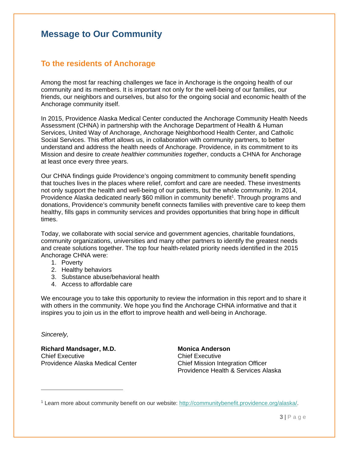# **Message to Our Community**

# **To the residents of Anchorage**

Among the most far reaching challenges we face in Anchorage is the ongoing health of our community and its members. It is important not only for the well-being of our families, our friends, our neighbors and ourselves, but also for the ongoing social and economic health of the Anchorage community itself.

In 2015, Providence Alaska Medical Center conducted the Anchorage Community Health Needs Assessment (CHNA) in partnership with the Anchorage Department of Health & Human Services, United Way of Anchorage, Anchorage Neighborhood Health Center, and Catholic Social Services. This effort allows us, in collaboration with community partners, to better understand and address the health needs of Anchorage. Providence, in its commitment to its Mission and desire to *create healthier communities together*, conducts a CHNA for Anchorage at least once every three years.

Our CHNA findings guide Providence's ongoing commitment to community benefit spending that touches lives in the places where relief, comfort and care are needed. These investments not only support the health and well-being of our patients, but the whole community. In 2014, Providence Alaska dedicated nearly \$60 million in community benefit<sup>1</sup>. Through programs and donations, Providence's community benefit connects families with preventive care to keep them healthy, fills gaps in community services and provides opportunities that bring hope in difficult times.

Today, we collaborate with social service and government agencies, charitable foundations, community organizations, universities and many other partners to identify the greatest needs and create solutions together. The top four health-related priority needs identified in the 2015 Anchorage CHNA were:

- 1. Poverty
- 2. Healthy behaviors
- 3. Substance abuse/behavioral health
- 4. Access to affordable care

We encourage you to take this opportunity to review the information in this report and to share it with others in the community. We hope you find the Anchorage CHNA informative and that it inspires you to join us in the effort to improve health and well-being in Anchorage.

*Sincerely,* 

 $\overline{a}$ 

**Richard Mandsager, M.D.**  Chief Executive Providence Alaska Medical Center **Monica Anderson**  Chief Executive Chief Mission Integration Officer Providence Health & Services Alaska

1 Learn more about community benefit on our website: http://communitybenefit.providence.org/alaska/.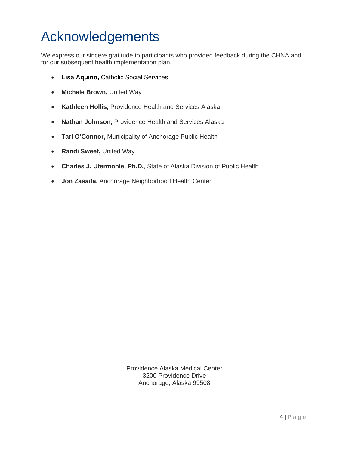# Acknowledgements

We express our sincere gratitude to participants who provided feedback during the CHNA and for our subsequent health implementation plan.

- **Lisa Aquino,** Catholic Social Services
- **Michele Brown,** United Way
- **Kathleen Hollis,** Providence Health and Services Alaska
- **Nathan Johnson,** Providence Health and Services Alaska
- **Tari O'Connor,** Municipality of Anchorage Public Health
- **Randi Sweet,** United Way
- **Charles J. Utermohle, Ph.D.**, State of Alaska Division of Public Health
- **Jon Zasada,** Anchorage Neighborhood Health Center

Providence Alaska Medical Center 3200 Providence Drive Anchorage, Alaska 99508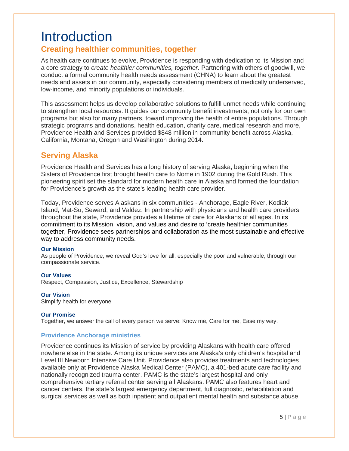# **Introduction**

# **Creating healthier communities, together**

As health care continues to evolve, Providence is responding with dedication to its Mission and a core strategy to *create healthier communities, together*. Partnering with others of goodwill, we conduct a formal community health needs assessment (CHNA) to learn about the greatest needs and assets in our community, especially considering members of medically underserved, low-income, and minority populations or individuals.

This assessment helps us develop collaborative solutions to fulfill unmet needs while continuing to strengthen local resources. It guides our community benefit investments, not only for our own programs but also for many partners, toward improving the health of entire populations. Through strategic programs and donations, health education, charity care, medical research and more, Providence Health and Services provided \$848 million in community benefit across Alaska, California, Montana, Oregon and Washington during 2014.

## **Serving Alaska**

Providence Health and Services has a long history of serving Alaska, beginning when the Sisters of Providence first brought health care to Nome in 1902 during the Gold Rush. This pioneering spirit set the standard for modern health care in Alaska and formed the foundation for Providence's growth as the state's leading health care provider.

Today, Providence serves Alaskans in six communities - Anchorage, Eagle River, Kodiak Island, Mat-Su, Seward, and Valdez. In partnership with physicians and health care providers throughout the state, Providence provides a lifetime of care for Alaskans of all ages. In its commitment to its Mission, vision, and values and desire to 'create healthier communities together, Providence sees partnerships and collaboration as the most sustainable and effective way to address community needs.

#### **Our Mission**

As people of Providence, we reveal God's love for all, especially the poor and vulnerable, through our compassionate service.

#### **Our Values**

Respect, Compassion, Justice, Excellence, Stewardship

#### **Our Vision**

Simplify health for everyone

#### **Our Promise**

Together, we answer the call of every person we serve: Know me, Care for me, Ease my way.

#### **Providence Anchorage ministries**

Providence continues its Mission of service by providing Alaskans with health care offered nowhere else in the state. Among its unique services are Alaska's only children's hospital and Level III Newborn Intensive Care Unit. Providence also provides treatments and technologies available only at Providence Alaska Medical Center (PAMC), a 401-bed acute care facility and nationally recognized trauma center. PAMC is the state's largest hospital and only comprehensive tertiary referral center serving all Alaskans. PAMC also features heart and cancer centers, the state's largest emergency department, full diagnostic, rehabilitation and surgical services as well as both inpatient and outpatient mental health and substance abuse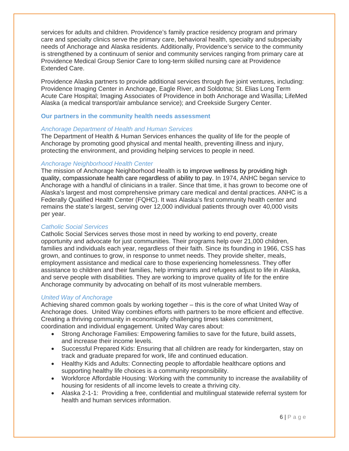services for adults and children. Providence's family practice residency program and primary care and specialty clinics serve the primary care, behavioral health, specialty and subspecialty needs of Anchorage and Alaska residents. Additionally, Providence's service to the community is strengthened by a continuum of senior and community services ranging from primary care at Providence Medical Group Senior Care to long-term skilled nursing care at Providence Extended Care.

Providence Alaska partners to provide additional services through five joint ventures, including: Providence Imaging Center in Anchorage, Eagle River, and Soldotna; St. Elias Long Term Acute Care Hospital; Imaging Associates of Providence in both Anchorage and Wasilla; LifeMed Alaska (a medical transport/air ambulance service); and Creekside Surgery Center.

#### **Our partners in the community health needs assessment**

#### *Anchorage Department of Health and Human Services*

The Department of Health & Human Services enhances the quality of life for the people of Anchorage by promoting good physical and mental health, preventing illness and injury, protecting the environment, and providing helping services to people in need.

#### *Anchorage Neighborhood Health Center*

The mission of Anchorage Neighborhood Health is to improve wellness by providing high quality, compassionate health care regardless of ability to pay. In 1974, ANHC began service to Anchorage with a handful of clinicians in a trailer. Since that time, it has grown to become one of Alaska's largest and most comprehensive primary care medical and dental practices. ANHC is a Federally Qualified Health Center (FQHC). It was Alaska's first community health center and remains the state's largest, serving over 12,000 individual patients through over 40,000 visits per year.

#### *Catholic Social Services*

Catholic Social Services serves those most in need by working to end poverty, create opportunity and advocate for just communities. Their programs help over 21,000 children, families and individuals each year, regardless of their faith. Since its founding in 1966, CSS has grown, and continues to grow, in response to unmet needs. They provide shelter, meals, employment assistance and medical care to those experiencing homelessness. They offer assistance to children and their families, help immigrants and refugees adjust to life in Alaska, and serve people with disabilities. They are working to improve quality of life for the entire Anchorage community by advocating on behalf of its most vulnerable members.

#### *United Way of Anchorage*

Achieving shared common goals by working together – this is the core of what United Way of Anchorage does. United Way combines efforts with partners to be more efficient and effective. Creating a thriving community in economically challenging times takes commitment, coordination and individual engagement. United Way cares about:

- Strong Anchorage Families: Empowering families to save for the future, build assets, and increase their income levels.
- Successful Prepared Kids: Ensuring that all children are ready for kindergarten, stay on track and graduate prepared for work, life and continued education.
- Healthy Kids and Adults: Connecting people to affordable healthcare options and supporting healthy life choices is a community responsibility.
- Workforce Affordable Housing: Working with the community to increase the availability of housing for residents of all income levels to create a thriving city.
- Alaska 2-1-1: Providing a free, confidential and multilingual statewide referral system for health and human services information.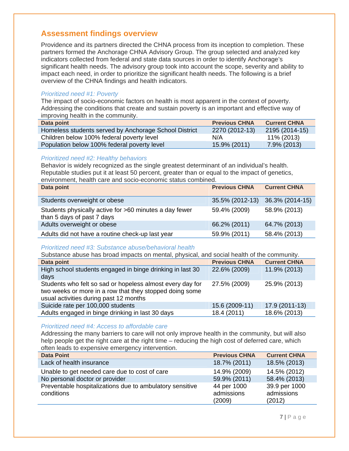# **Assessment findings overview**

Providence and its partners directed the CHNA process from its inception to completion. These partners formed the Anchorage CHNA Advisory Group. The group selected and analyzed key indicators collected from federal and state data sources in order to identify Anchorage's significant health needs. The advisory group took into account the scope, severity and ability to impact each need, in order to prioritize the significant health needs. The following is a brief overview of the CHNA findings and health indicators.

#### *Prioritized need #1: Poverty*

The impact of socio-economic factors on health is most apparent in the context of poverty. Addressing the conditions that create and sustain poverty is an important and effective way of improving health in the community.

| Data point                                            | <b>Previous CHNA</b> | <b>Current CHNA</b> |
|-------------------------------------------------------|----------------------|---------------------|
| Homeless students served by Anchorage School District | 2270 (2012-13)       | 2195 (2014-15)      |
| Children below 100% federal poverty level             | N/A                  | 11% (2013)          |
| Population below 100% federal poverty level           | 15.9% (2011)         | 7.9% (2013)         |

#### *Prioritized need #2: Healthy behaviors*

Behavior is widely recognized as the single greatest determinant of an individual's health. Reputable studies put it at least 50 percent, greater than or equal to the impact of genetics, environment, health care and socio-economic status combined.

| Data point                                                                           | <b>Previous CHNA</b> | <b>Current CHNA</b> |
|--------------------------------------------------------------------------------------|----------------------|---------------------|
| Students overweight or obese                                                         | 35.5% (2012-13)      | 36.3% (2014-15)     |
| Students physically active for >60 minutes a day fewer<br>than 5 days of past 7 days | 59.4% (2009)         | 58.9% (2013)        |
| Adults overweight or obese                                                           | 66.2% (2011)         | 64.7% (2013)        |
| Adults did not have a routine check-up last year                                     | 59.9% (2011)         | 58.4% (2013)        |

#### *Prioritized need #3: Substance abuse/behavioral health*

| Substance abuse has broad impacts on mental, physical, and social health of the community.                                                                     |                      |                     |  |
|----------------------------------------------------------------------------------------------------------------------------------------------------------------|----------------------|---------------------|--|
| Data point                                                                                                                                                     | <b>Previous CHNA</b> | <b>Current CHNA</b> |  |
| High school students engaged in binge drinking in last 30<br>days                                                                                              | 22.6% (2009)         | 11.9% (2013)        |  |
| Students who felt so sad or hopeless almost every day for<br>two weeks or more in a row that they stopped doing some<br>usual activities during past 12 months | 27.5% (2009)         | 25.9% (2013)        |  |
| Suicide rate per 100,000 students                                                                                                                              | 15.6 (2009-11)       | 17.9 (2011-13)      |  |
| Adults engaged in binge drinking in last 30 days                                                                                                               | 18.4 (2011)          | 18.6% (2013)        |  |

#### *Prioritized need #4: Access to affordable care*

Addressing the many barriers to care will not only improve health in the community, but will also help people get the right care at the right time – reducing the high cost of deferred care, which often leads to expensive emergency intervention.

| <b>Data Point</b>                                                      | <b>Previous CHNA</b>                | <b>Current CHNA</b>                   |
|------------------------------------------------------------------------|-------------------------------------|---------------------------------------|
| Lack of health insurance                                               | 18.7% (2011)                        | 18.5% (2013)                          |
| Unable to get needed care due to cost of care                          | 14.9% (2009)                        | 14.5% (2012)                          |
| No personal doctor or provider                                         | 59.9% (2011)                        | 58.4% (2013)                          |
| Preventable hospitalizations due to ambulatory sensitive<br>conditions | 44 per 1000<br>admissions<br>(2009) | 39.9 per 1000<br>admissions<br>(2012) |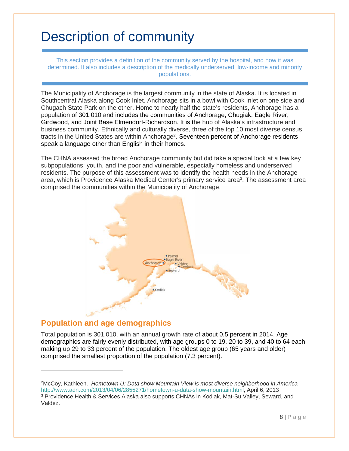# Description of community

This section provides a definition of the community served by the hospital, and how it was determined. It also includes a description of the medically underserved, low-income and minority populations.

The Municipality of Anchorage is the largest community in the state of Alaska. It is located in Southcentral Alaska along Cook Inlet. Anchorage sits in a bowl with Cook Inlet on one side and Chugach State Park on the other. Home to nearly half the state's residents, Anchorage has a population of 301,010 and includes the communities of Anchorage, Chugiak, Eagle River, Girdwood, and Joint Base Elmendorf-Richardson. It is the hub of Alaska's infrastructure and business community. Ethnically and culturally diverse, three of the top 10 most diverse census tracts in the United States are within Anchorage<sup>2</sup>. Seventeen percent of Anchorage residents speak a language other than English in their homes.

The CHNA assessed the broad Anchorage community but did take a special look at a few key subpopulations: youth, and the poor and vulnerable, especially homeless and underserved residents. The purpose of this assessment was to identify the health needs in the Anchorage area, which is Providence Alaska Medical Center's primary service area<sup>3</sup>. The assessment area comprised the communities within the Municipality of Anchorage.



# **Population and age demographics**

 $\overline{a}$ 

Total population is 301,010, with an annual growth rate of about 0.5 percent in 2014. Age demographics are fairly evenly distributed, with age groups 0 to 19, 20 to 39, and 40 to 64 each making up 29 to 33 percent of the population. The oldest age group (65 years and older) comprised the smallest proportion of the population (7.3 percent).

2McCoy, Kathleen. *Hometown U: Data show Mountain View is most diverse neighborhood in America*  http://www.adn.com/2013/04/06/2855271/hometown-u-data-show-mountain.html, April 6, 2013 <sup>3</sup> Providence Health & Services Alaska also supports CHNAs in Kodiak, Mat-Su Valley, Seward, and Valdez.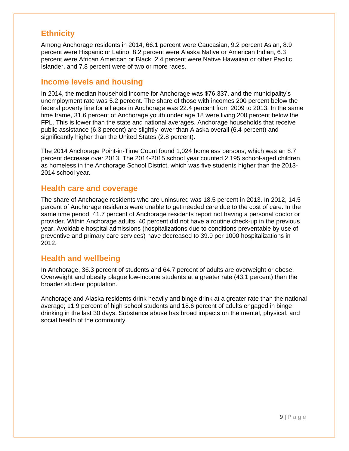# **Ethnicity**

Among Anchorage residents in 2014, 66.1 percent were Caucasian, 9.2 percent Asian, 8.9 percent were Hispanic or Latino, 8.2 percent were Alaska Native or American Indian, 6.3 percent were African American or Black, 2.4 percent were Native Hawaiian or other Pacific Islander, and 7.8 percent were of two or more races.

## **Income levels and housing**

In 2014, the median household income for Anchorage was \$76,337, and the municipality's unemployment rate was 5.2 percent. The share of those with incomes 200 percent below the federal poverty line for all ages in Anchorage was 22.4 percent from 2009 to 2013. In the same time frame, 31.6 percent of Anchorage youth under age 18 were living 200 percent below the FPL. This is lower than the state and national averages. Anchorage households that receive public assistance (6.3 percent) are slightly lower than Alaska overall (6.4 percent) and significantly higher than the United States (2.8 percent).

The 2014 Anchorage Point-in-Time Count found 1,024 homeless persons, which was an 8.7 percent decrease over 2013. The 2014-2015 school year counted 2,195 school-aged children as homeless in the Anchorage School District, which was five students higher than the 2013- 2014 school year.

## **Health care and coverage**

The share of Anchorage residents who are uninsured was 18.5 percent in 2013. In 2012, 14.5 percent of Anchorage residents were unable to get needed care due to the cost of care. In the same time period, 41.7 percent of Anchorage residents report not having a personal doctor or provider. Within Anchorage adults, 40 percent did not have a routine check-up in the previous year. Avoidable hospital admissions (hospitalizations due to conditions preventable by use of preventive and primary care services) have decreased to 39.9 per 1000 hospitalizations in 2012.

# **Health and wellbeing**

In Anchorage, 36.3 percent of students and 64.7 percent of adults are overweight or obese. Overweight and obesity plague low-income students at a greater rate (43.1 percent) than the broader student population.

Anchorage and Alaska residents drink heavily and binge drink at a greater rate than the national average; 11.9 percent of high school students and 18.6 percent of adults engaged in binge drinking in the last 30 days. Substance abuse has broad impacts on the mental, physical, and social health of the community.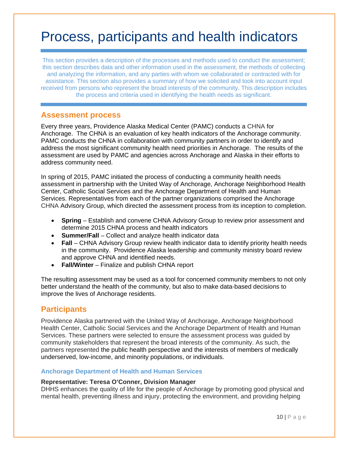# Process, participants and health indicators

This section provides a description of the processes and methods used to conduct the assessment; this section describes data and other information used in the assessment, the methods of collecting and analyzing the information, and any parties with whom we collaborated or contracted with for assistance. This section also provides a summary of how we solicited and took into account input received from persons who represent the broad interests of the community. This description includes the process and criteria used in identifying the health needs as significant.

## **Assessment process**

Every three years, Providence Alaska Medical Center (PAMC) conducts a CHNA for Anchorage. The CHNA is an evaluation of key health indicators of the Anchorage community. PAMC conducts the CHNA in collaboration with community partners in order to identify and address the most significant community health need priorities in Anchorage. The results of the assessment are used by PAMC and agencies across Anchorage and Alaska in their efforts to address community need.

In spring of 2015, PAMC initiated the process of conducting a community health needs assessment in partnership with the United Way of Anchorage, Anchorage Neighborhood Health Center, Catholic Social Services and the Anchorage Department of Health and Human Services. Representatives from each of the partner organizations comprised the Anchorage CHNA Advisory Group, which directed the assessment process from its inception to completion.

- **Spring** Establish and convene CHNA Advisory Group to review prior assessment and determine 2015 CHNA process and health indicators
- **Summer/Fall** Collect and analyze health indicator data
- **Fall** CHNA Advisory Group review health indicator data to identify priority health needs in the community. Providence Alaska leadership and community ministry board review and approve CHNA and identified needs.
- **Fall/Winter**  Finalize and publish CHNA report

The resulting assessment may be used as a tool for concerned community members to not only better understand the health of the community, but also to make data-based decisions to improve the lives of Anchorage residents.

## **Participants**

Providence Alaska partnered with the United Way of Anchorage, Anchorage Neighborhood Health Center, Catholic Social Services and the Anchorage Department of Health and Human Services. These partners were selected to ensure the assessment process was guided by community stakeholders that represent the broad interests of the community. As such, the partners represented the public health perspective and the interests of members of medically underserved, low-income, and minority populations, or individuals.

#### **Anchorage Department of Health and Human Services**

#### **Representative: Teresa O'Conner, Division Manager**

DHHS enhances the quality of life for the people of Anchorage by promoting good physical and mental health, preventing illness and injury, protecting the environment, and providing helping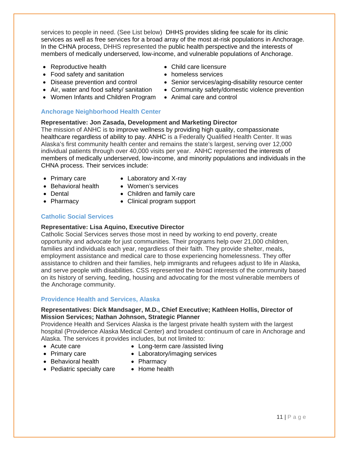services to people in need. (See List below) DHHS provides sliding fee scale for its clinic services as well as free services for a broad array of the most at-risk populations in Anchorage. In the CHNA process, DHHS represented the public health perspective and the interests of members of medically underserved, low-income, and vulnerable populations of Anchorage.

- Reproductive health
- Food safety and sanitation
- Disease prevention and control
- Air, water and food safety/ sanitation
- Women Infants and Children Program

#### **Anchorage Neighborhood Health Center**

- Child care licensure
- **•** homeless services
- Senior services/aging-disability resource center
- Community safety/domestic violence prevention
- Animal care and control

#### **Representative: Jon Zasada, Development and Marketing Director**

The mission of ANHC is to improve wellness by providing high quality, compassionate healthcare regardless of ability to pay. ANHC is a Federally Qualified Health Center. It was Alaska's first community health center and remains the state's largest, serving over 12,000 individual patients through over 40,000 visits per year. ANHC represented the interests of members of medically underserved, low-income, and minority populations and individuals in the CHNA process. Their services include:

- Primary care
- Laboratory and X-ray
- Behavioral health
- Women's services Children and family care
- Dental • Pharmacy
- Clinical program support
- 
- 

#### **Catholic Social Services**

#### **Representative: Lisa Aquino, Executive Director**

Catholic Social Services serves those most in need by working to end poverty, create opportunity and advocate for just communities. Their programs help over 21,000 children, families and individuals each year, regardless of their faith. They provide shelter, meals, employment assistance and medical care to those experiencing homelessness. They offer assistance to children and their families, help immigrants and refugees adjust to life in Alaska, and serve people with disabilities. CSS represented the broad interests of the community based on its history of serving, feeding, housing and advocating for the most vulnerable members of the Anchorage community.

#### **Providence Health and Services, Alaska**

#### **Representatives: Dick Mandsager, M.D., Chief Executive; Kathleen Hollis, Director of Mission Services; Nathan Johnson, Strategic Planner**

Providence Health and Services Alaska is the largest private health system with the largest hospital (Providence Alaska Medical Center) and broadest continuum of care in Anchorage and Alaska. The services it provides includes, but not limited to:

- Acute care
- Long-term care /assisted living
- Primary care
- Laboratory/imaging services
- Behavioral health
- Pharmacy
- Pediatric specialty care
- Home health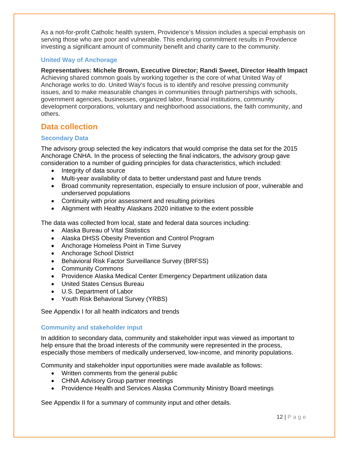As a not-for-profit Catholic health system, Providence's Mission includes a special emphasis on serving those who are poor and vulnerable. This enduring commitment results in Providence investing a significant amount of community benefit and charity care to the community.

#### **United Way of Anchorage**

**Representatives: Michele Brown, Executive Director; Randi Sweet, Director Health Impact** Achieving shared common goals by working together is the core of what United Way of Anchorage works to do. United Way's focus is to identify and resolve pressing community issues, and to make measurable changes in communities through partnerships with schools, government agencies, businesses, organized labor, financial institutions, community development corporations, voluntary and neighborhood associations, the faith community, and others.

# **Data collection**

#### **Secondary Data**

The advisory group selected the key indicators that would comprise the data set for the 2015 Anchorage CNHA. In the process of selecting the final indicators, the advisory group gave consideration to a number of guiding principles for data characteristics, which included:

- Integrity of data source
- Multi-year availability of data to better understand past and future trends
- Broad community representation, especially to ensure inclusion of poor, vulnerable and underserved populations
- Continuity with prior assessment and resulting priorities
- Alignment with Healthy Alaskans 2020 initiative to the extent possible

The data was collected from local, state and federal data sources including:

- Alaska Bureau of Vital Statistics
- Alaska DHSS Obesity Prevention and Control Program
- Anchorage Homeless Point in Time Survey
- Anchorage School District
- Behavioral Risk Factor Surveillance Survey (BRFSS)
- Community Commons
- Providence Alaska Medical Center Emergency Department utilization data
- United States Census Bureau
- U.S. Department of Labor
- Youth Risk Behavioral Survey (YRBS)

See Appendix I for all health indicators and trends

#### **Community and stakeholder input**

In addition to secondary data, community and stakeholder input was viewed as important to help ensure that the broad interests of the community were represented in the process, especially those members of medically underserved, low-income, and minority populations.

Community and stakeholder input opportunities were made available as follows:

- Written comments from the general public
- CHNA Advisory Group partner meetings
- Providence Health and Services Alaska Community Ministry Board meetings

See Appendix II for a summary of community input and other details.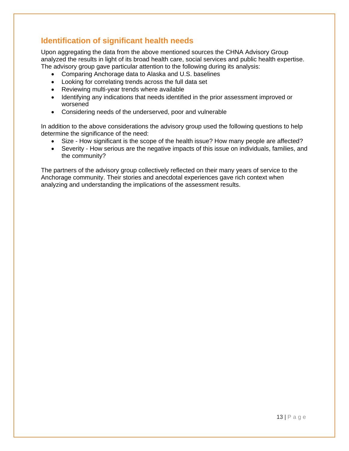# **Identification of significant health needs**

Upon aggregating the data from the above mentioned sources the CHNA Advisory Group analyzed the results in light of its broad health care, social services and public health expertise. The advisory group gave particular attention to the following during its analysis:

- Comparing Anchorage data to Alaska and U.S. baselines
- Looking for correlating trends across the full data set
- Reviewing multi-year trends where available
- Identifying any indications that needs identified in the prior assessment improved or worsened
- Considering needs of the underserved, poor and vulnerable

In addition to the above considerations the advisory group used the following questions to help determine the significance of the need:

- Size How significant is the scope of the health issue? How many people are affected?
- Severity How serious are the negative impacts of this issue on individuals, families, and the community?

The partners of the advisory group collectively reflected on their many years of service to the Anchorage community. Their stories and anecdotal experiences gave rich context when analyzing and understanding the implications of the assessment results.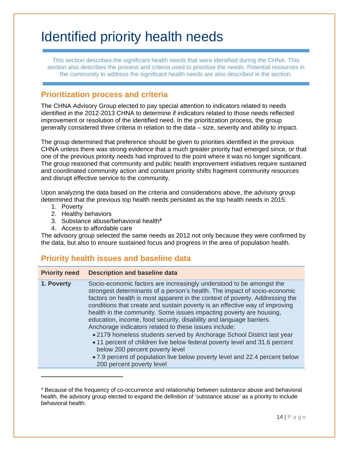# Identified priority health needs

This section describes the significant health needs that were identified during the CHNA. This section also describes the process and criteria used to prioritize the needs. Potential resources in the community to address the significant health needs are also described in the section.

# **Prioritization process and criteria**

The CHNA Advisory Group elected to pay special attention to indicators related to needs identified in the 2012-2013 CHNA to determine if indicators related to those needs reflected improvement or resolution of the identified need. In the prioritization process, the group generally considered three criteria in relation to the data – size, severity and ability to impact.

The group determined that preference should be given to priorities identified in the previous CHNA unless there was strong evidence that a much greater priority had emerged since, or that one of the previous priority needs had improved to the point where it was no longer significant. The group reasoned that community and public health improvement initiatives require sustained and coordinated community action and constant priority shifts fragment community resources and disrupt effective service to the community.

Upon analyzing the data based on the criteria and considerations above, the advisory group determined that the previous top health needs persisted as the top health needs in 2015:

1. Poverty

l

- 2. Healthy behaviors
- 3. Substance abuse/behavioral health**<sup>4</sup>**
- 4. Access to affordable care

The advisory group selected the same needs as 2012 not only because they were confirmed by the data, but also to ensure sustained focus and progress in the area of population health.

# **Priority health issues and baseline data**

| <b>Priority need</b> | <b>Description and baseline data</b>                                                                                                                                                                                                                                                                                                                                                                                                                                                                                                                                                                                                                                                                                                                                                                                           |
|----------------------|--------------------------------------------------------------------------------------------------------------------------------------------------------------------------------------------------------------------------------------------------------------------------------------------------------------------------------------------------------------------------------------------------------------------------------------------------------------------------------------------------------------------------------------------------------------------------------------------------------------------------------------------------------------------------------------------------------------------------------------------------------------------------------------------------------------------------------|
| 1. Poverty           | Socio-economic factors are increasingly understood to be amongst the<br>strongest determinants of a person's health. The impact of socio-economic<br>factors on health is most apparent in the context of poverty. Addressing the<br>conditions that create and sustain poverty is an effective way of improving<br>health in the community. Some issues impacting poverty are housing,<br>education, income, food security, disability and language barriers.<br>Anchorage indicators related to these issues include:<br>• 2179 homeless students served by Anchorage School District last year<br>• 11 percent of children live below federal poverty level and 31.6 percent<br>below 200 percent poverty level<br>• 7.9 percent of population live below poverty level and 22.4 percent below<br>200 percent poverty level |
|                      |                                                                                                                                                                                                                                                                                                                                                                                                                                                                                                                                                                                                                                                                                                                                                                                                                                |

<sup>&</sup>lt;sup>4</sup> Because of the frequency of co-occurrence and relationship between substance abuse and behavioral health, the advisory group elected to expand the definition of 'substance abuse' as a priority to include behavioral health.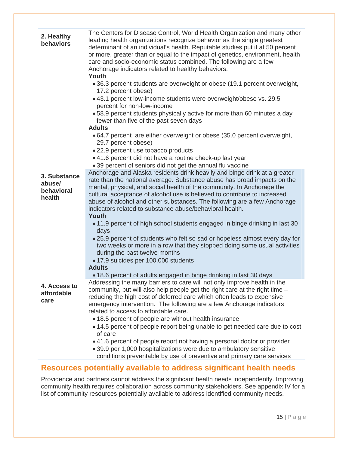| 2. Healthy<br>behaviors                        | The Centers for Disease Control, World Health Organization and many other<br>leading health organizations recognize behavior as the single greatest<br>determinant of an individual's health. Reputable studies put it at 50 percent<br>or more, greater than or equal to the impact of genetics, environment, health<br>care and socio-economic status combined. The following are a few<br>Anchorage indicators related to healthy behaviors.<br>Youth<br>• 36.3 percent students are overweight or obese (19.1 percent overweight, |
|------------------------------------------------|---------------------------------------------------------------------------------------------------------------------------------------------------------------------------------------------------------------------------------------------------------------------------------------------------------------------------------------------------------------------------------------------------------------------------------------------------------------------------------------------------------------------------------------|
|                                                | 17.2 percent obese)                                                                                                                                                                                                                                                                                                                                                                                                                                                                                                                   |
|                                                | • 43.1 percent low-income students were overweight/obese vs. 29.5<br>percent for non-low-income                                                                                                                                                                                                                                                                                                                                                                                                                                       |
|                                                | .58.9 percent students physically active for more than 60 minutes a day<br>fewer than five of the past seven days                                                                                                                                                                                                                                                                                                                                                                                                                     |
|                                                | <b>Adults</b>                                                                                                                                                                                                                                                                                                                                                                                                                                                                                                                         |
|                                                | • 64.7 percent are either overweight or obese (35.0 percent overweight,<br>29.7 percent obese)                                                                                                                                                                                                                                                                                                                                                                                                                                        |
|                                                | • 22.9 percent use tobacco products                                                                                                                                                                                                                                                                                                                                                                                                                                                                                                   |
|                                                | • 41.6 percent did not have a routine check-up last year                                                                                                                                                                                                                                                                                                                                                                                                                                                                              |
|                                                | • 39 percent of seniors did not get the annual flu vaccine<br>Anchorage and Alaska residents drink heavily and binge drink at a greater                                                                                                                                                                                                                                                                                                                                                                                               |
| 3. Substance<br>abuse/<br>behavioral<br>health | rate than the national average. Substance abuse has broad impacts on the<br>mental, physical, and social health of the community. In Anchorage the<br>cultural acceptance of alcohol use is believed to contribute to increased<br>abuse of alcohol and other substances. The following are a few Anchorage<br>indicators related to substance abuse/behavioral health.                                                                                                                                                               |
|                                                | <b>Youth</b><br>• 11.9 percent of high school students engaged in binge drinking in last 30                                                                                                                                                                                                                                                                                                                                                                                                                                           |
|                                                | days                                                                                                                                                                                                                                                                                                                                                                                                                                                                                                                                  |
|                                                | . 25.9 percent of students who felt so sad or hopeless almost every day for<br>two weeks or more in a row that they stopped doing some usual activities<br>during the past twelve months<br>• 17.9 suicides per 100,000 students<br><b>Adults</b>                                                                                                                                                                                                                                                                                     |
|                                                | • 18.6 percent of adults engaged in binge drinking in last 30 days                                                                                                                                                                                                                                                                                                                                                                                                                                                                    |
| 4. Access to<br>affordable<br>care             | Addressing the many barriers to care will not only improve health in the<br>community, but will also help people get the right care at the right time -<br>reducing the high cost of deferred care which often leads to expensive<br>emergency intervention. The following are a few Anchorage indicators<br>related to access to affordable care.<br>• 18.5 percent of people are without health insurance                                                                                                                           |
|                                                | • 14.5 percent of people report being unable to get needed care due to cost                                                                                                                                                                                                                                                                                                                                                                                                                                                           |
|                                                | of care                                                                                                                                                                                                                                                                                                                                                                                                                                                                                                                               |
|                                                | • 41.6 percent of people report not having a personal doctor or provider<br>• 39.9 per 1,000 hospitalizations were due to ambulatory sensitive                                                                                                                                                                                                                                                                                                                                                                                        |
|                                                | conditions preventable by use of preventive and primary care services                                                                                                                                                                                                                                                                                                                                                                                                                                                                 |

# **Resources potentially available to address significant health needs**

Providence and partners cannot address the significant health needs independently. Improving community health requires collaboration across community stakeholders. See appendix IV for a list of community resources potentially available to address identified community needs.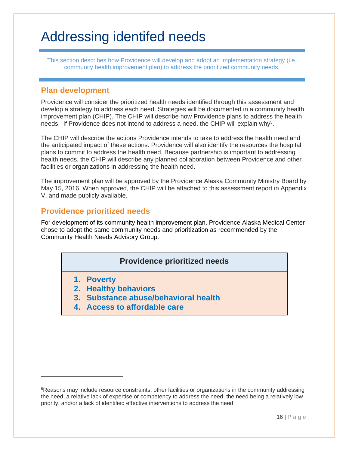# Addressing identifed needs

This section describes how Providence will develop and adopt an implementation strategy (i.e. community health improvement plan) to address the prioritized community needs.

## **Plan development**

Providence will consider the prioritized health needs identified through this assessment and develop a strategy to address each need. Strategies will be documented in a community health improvement plan (CHIP). The CHIP will describe how Providence plans to address the health needs. If Providence does not intend to address a need, the CHIP will explain why<sup>5</sup>.

The CHIP will describe the actions Providence intends to take to address the health need and the anticipated impact of these actions. Providence will also identify the resources the hospital plans to commit to address the health need. Because partnership is important to addressing health needs, the CHIP will describe any planned collaboration between Providence and other facilities or organizations in addressing the health need.

The improvement plan will be approved by the Providence Alaska Community Ministry Board by May 15, 2016. When approved, the CHIP will be attached to this assessment report in Appendix V, and made publicly available.

## **Providence prioritized needs**

For development of its community health improvement plan, Providence Alaska Medical Center chose to adopt the same community needs and prioritization as recommended by the Community Health Needs Advisory Group.

## **Providence prioritized needs**

**1. Poverty** 

l

- **2. Healthy behaviors**
- **3. Substance abuse/behavioral health**
- **4. Access to affordable care**

<sup>5</sup>Reasons may include resource constraints, other facilities or organizations in the community addressing the need, a relative lack of expertise or competency to address the need, the need being a relatively low priority, and/or a lack of identified effective interventions to address the need.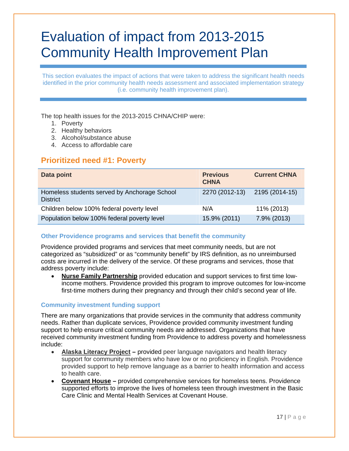# Evaluation of impact from 2013-2015 Community Health Improvement Plan

This section evaluates the impact of actions that were taken to address the significant health needs identified in the prior community health needs assessment and associated implementation strategy (i.e. community health improvement plan).

The top health issues for the 2013-2015 CHNA/CHIP were:

- 1. Poverty
- 2. Healthy behaviors
- 3. Alcohol/substance abuse
- 4. Access to affordable care

## **Prioritized need #1: Poverty**

| Data point                                                      | <b>Previous</b><br><b>CHNA</b> | <b>Current CHNA</b> |
|-----------------------------------------------------------------|--------------------------------|---------------------|
| Homeless students served by Anchorage School<br><b>District</b> | 2270 (2012-13)                 | 2195 (2014-15)      |
| Children below 100% federal poverty level                       | N/A                            | 11% (2013)          |
| Population below 100% federal poverty level                     | 15.9% (2011)                   | 7.9% (2013)         |

#### **Other Providence programs and services that benefit the community**

Providence provided programs and services that meet community needs, but are not categorized as "subsidized" or as "community benefit" by IRS definition, as no unreimbursed costs are incurred in the delivery of the service. Of these programs and services, those that address poverty include:

 **Nurse Family Partnership** provided education and support services to first time lowincome mothers. Providence provided this program to improve outcomes for low-income first-time mothers during their pregnancy and through their child's second year of life.

#### **Community investment funding support**

There are many organizations that provide services in the community that address community needs. Rather than duplicate services, Providence provided community investment funding support to help ensure critical community needs are addressed. Organizations that have received community investment funding from Providence to address poverty and homelessness include:

- **Alaska Literacy Project** provided peer language navigators and health literacy support for community members who have low or no proficiency in English. Providence provided support to help remove language as a barrier to health information and access to health care.
- **Covenant House** provided comprehensive services for homeless teens. Providence supported efforts to improve the lives of homeless teen through investment in the Basic Care Clinic and Mental Health Services at Covenant House.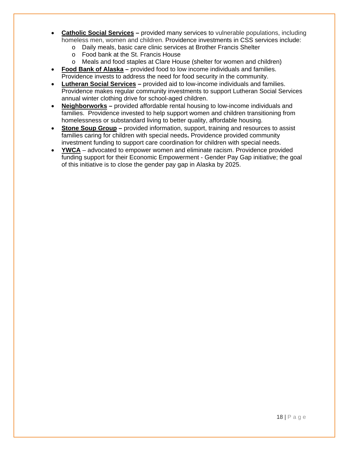- **Catholic Social Services** provided many services to vulnerable populations, including homeless men, women and children. Providence investments in CSS services include:
	- o Daily meals, basic care clinic services at Brother Francis Shelter
	- o Food bank at the St. Francis House
	- o Meals and food staples at Clare House (shelter for women and children)
- **Food Bank of Alaska** provided food to low income individuals and families. Providence invests to address the need for food security in the community.
- **Lutheran Social Services** provided aid to low-income individuals and families. Providence makes regular community investments to support Lutheran Social Services annual winter clothing drive for school-aged children.
- **Neighborworks** provided affordable rental housing to low-income individuals and families. Providence invested to help support women and children transitioning from homelessness or substandard living to better quality, affordable housing.
- **Stone Soup Group** provided information, support, training and resources to assist families caring for children with special needs**.** Providence provided community investment funding to support care coordination for children with special needs.
- **YWCA** advocated to empower women and eliminate racism. Providence provided funding support for their Economic Empowerment - Gender Pay Gap initiative; the goal of this initiative is to close the gender pay gap in Alaska by 2025.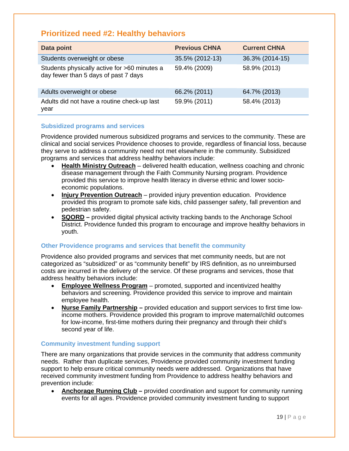# **Prioritized need #2: Healthy behaviors**

| Data point                                                                           | <b>Previous CHNA</b> | <b>Current CHNA</b> |
|--------------------------------------------------------------------------------------|----------------------|---------------------|
| Students overweight or obese                                                         | 35.5% (2012-13)      | 36.3% (2014-15)     |
| Students physically active for >60 minutes a<br>day fewer than 5 days of past 7 days | 59.4% (2009)         | 58.9% (2013)        |
| Adults overweight or obese                                                           | 66.2% (2011)         | 64.7% (2013)        |
| Adults did not have a routine check-up last<br>year                                  | 59.9% (2011)         | 58.4% (2013)        |

#### **Subsidized programs and services**

Providence provided numerous subsidized programs and services to the community. These are clinical and social services Providence chooses to provide, regardless of financial loss, because they serve to address a community need not met elsewhere in the community. Subsidized programs and services that address healthy behaviors include:

- **Health Ministry Outreach** delivered health education, wellness coaching and chronic disease management through the Faith Community Nursing program. Providence provided this service to improve health literacy in diverse ethnic and lower socioeconomic populations.
- **Injury Prevention Outreach** provided injury prevention education. Providence provided this program to promote safe kids, child passenger safety, fall prevention and pedestrian safety.
- **SQORD** provided digital physical activity tracking bands to the Anchorage School District. Providence funded this program to encourage and improve healthy behaviors in youth.

#### **Other Providence programs and services that benefit the community**

Providence also provided programs and services that met community needs, but are not categorized as "subsidized" or as "community benefit" by IRS definition, as no unreimbursed costs are incurred in the delivery of the service. Of these programs and services, those that address healthy behaviors include:

- **Employee Wellness Program** promoted, supported and incentivized healthy behaviors and screening. Providence provided this service to improve and maintain employee health.
- **Nurse Family Partnership** provided education and support services to first time lowincome mothers. Providence provided this program to improve maternal/child outcomes for low-income, first-time mothers during their pregnancy and through their child's second year of life.

#### **Community investment funding support**

There are many organizations that provide services in the community that address community needs. Rather than duplicate services, Providence provided community investment funding support to help ensure critical community needs were addressed. Organizations that have received community investment funding from Providence to address healthy behaviors and prevention include:

 **Anchorage Running Club –** provided coordination and support for community running events for all ages. Providence provided community investment funding to support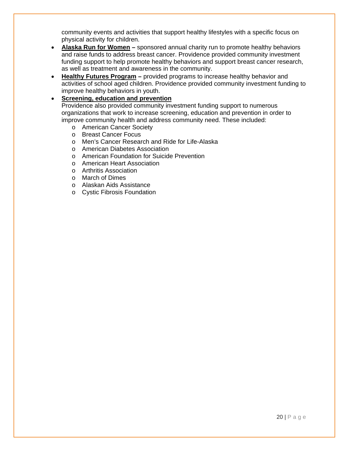community events and activities that support healthy lifestyles with a specific focus on physical activity for children.

- **Alaska Run for Women** sponsored annual charity run to promote healthy behaviors and raise funds to address breast cancer. Providence provided community investment funding support to help promote healthy behaviors and support breast cancer research, as well as treatment and awareness in the community.
- **Healthy Futures Program** provided programs to increase healthy behavior and activities of school aged children. Providence provided community investment funding to improve healthy behaviors in youth.

#### **Screening, education and prevention**

Providence also provided community investment funding support to numerous organizations that work to increase screening, education and prevention in order to improve community health and address community need. These included:

- o American Cancer Society
- o Breast Cancer Focus
- o Men's Cancer Research and Ride for Life-Alaska
- o American Diabetes Association
- o American Foundation for Suicide Prevention
- o American Heart Association
- o Arthritis Association
- o March of Dimes
- o Alaskan Aids Assistance
- o Cystic Fibrosis Foundation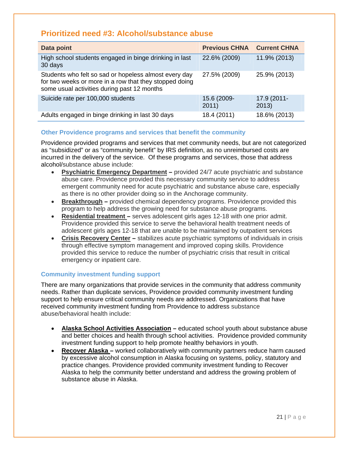# **Prioritized need #3: Alcohol/substance abuse**

| Data point                                                                                                                                                     | <b>Previous CHNA</b> | <b>Current CHNA</b>  |
|----------------------------------------------------------------------------------------------------------------------------------------------------------------|----------------------|----------------------|
| High school students engaged in binge drinking in last<br>30 days                                                                                              | 22.6% (2009)         | 11.9% (2013)         |
| Students who felt so sad or hopeless almost every day<br>for two weeks or more in a row that they stopped doing<br>some usual activities during past 12 months | 27.5% (2009)         | 25.9% (2013)         |
| Suicide rate per 100,000 students                                                                                                                              | 15.6 (2009-<br>2011) | 17.9 (2011-<br>2013) |
| Adults engaged in binge drinking in last 30 days                                                                                                               | 18.4 (2011)          | 18.6% (2013)         |

#### **Other Providence programs and services that benefit the community**

Providence provided programs and services that met community needs, but are not categorized as "subsidized" or as "community benefit" by IRS definition, as no unreimbursed costs are incurred in the delivery of the service. Of these programs and services, those that address alcohol/substance abuse include:

- **Psychiatric Emergency Department** provided 24/7 acute psychiatric and substance abuse care. Providence provided this necessary community service to address emergent community need for acute psychiatric and substance abuse care, especially as there is no other provider doing so in the Anchorage community.
- **Breakthrough** provided chemical dependency programs. Providence provided this program to help address the growing need for substance abuse programs.
- **Residential treatment** serves adolescent girls ages 12-18 with one prior admit. Providence provided this service to serve the behavioral health treatment needs of adolescent girls ages 12-18 that are unable to be maintained by outpatient services
- **Crisis Recovery Center** stabilizes acute psychiatric symptoms of individuals in crisis through effective symptom management and improved coping skills. Providence provided this service to reduce the number of psychiatric crisis that result in critical emergency or inpatient care.

#### **Community investment funding support**

There are many organizations that provide services in the community that address community needs. Rather than duplicate services, Providence provided community investment funding support to help ensure critical community needs are addressed. Organizations that have received community investment funding from Providence to address substance abuse/behavioral health include:

- **Alaska School Activities Association** educated school youth about substance abuse and better choices and health through school activities. Providence provided community investment funding support to help promote healthy behaviors in youth.
- **Recover Alaska** worked collaboratively with community partners reduce harm caused by excessive alcohol consumption in Alaska focusing on systems, policy, statutory and practice changes. Providence provided community investment funding to Recover Alaska to help the community better understand and address the growing problem of substance abuse in Alaska.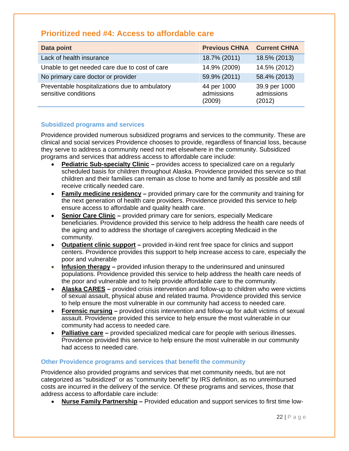# **Prioritized need #4: Access to affordable care**

| Data point                                                             | <b>Previous CHNA</b>                | <b>Current CHNA</b>                   |
|------------------------------------------------------------------------|-------------------------------------|---------------------------------------|
| Lack of health insurance                                               | 18.7% (2011)                        | 18.5% (2013)                          |
| Unable to get needed care due to cost of care                          | 14.9% (2009)                        | 14.5% (2012)                          |
| No primary care doctor or provider                                     | 59.9% (2011)                        | 58.4% (2013)                          |
| Preventable hospitalizations due to ambulatory<br>sensitive conditions | 44 per 1000<br>admissions<br>(2009) | 39.9 per 1000<br>admissions<br>(2012) |

#### **Subsidized programs and services**

Providence provided numerous subsidized programs and services to the community. These are clinical and social services Providence chooses to provide, regardless of financial loss, because they serve to address a community need not met elsewhere in the community. Subsidized programs and services that address access to affordable care include:

- **Pediatric Sub-specialty Clinic** provides access to specialized care on a regularly scheduled basis for children throughout Alaska. Providence provided this service so that children and their families can remain as close to home and family as possible and still receive critically needed care.
- **Family medicine residency** provided primary care for the community and training for the next generation of health care providers. Providence provided this service to help ensure access to affordable and quality health care.
- **Senior Care Clinic** provided primary care for seniors, especially Medicare beneficiaries. Providence provided this service to help address the health care needs of the aging and to address the shortage of caregivers accepting Medicaid in the community.
- **Outpatient clinic support** provided in-kind rent free space for clinics and support centers. Providence provides this support to help increase access to care, especially the poor and vulnerable
- **Infusion therapy** provided infusion therapy to the underinsured and uninsured populations. Providence provided this service to help address the health care needs of the poor and vulnerable and to help provide affordable care to the community.
- **Alaska CARES** provided crisis intervention and follow-up to children who were victims of sexual assault, physical abuse and related trauma. Providence provided this service to help ensure the most vulnerable in our community had access to needed care.
- **Forensic nursing** provided crisis intervention and follow-up for adult victims of sexual assault. Providence provided this service to help ensure the most vulnerable in our community had access to needed care.
- **Palliative care** provided specialized medical care for people with serious illnesses. Providence provided this service to help ensure the most vulnerable in our community had access to needed care.

#### **Other Providence programs and services that benefit the community**

Providence also provided programs and services that met community needs, but are not categorized as "subsidized" or as "community benefit" by IRS definition, as no unreimbursed costs are incurred in the delivery of the service. Of these programs and services, those that address access to affordable care include:

**Nurse Family Partnership –** Provided education and support services to first time low-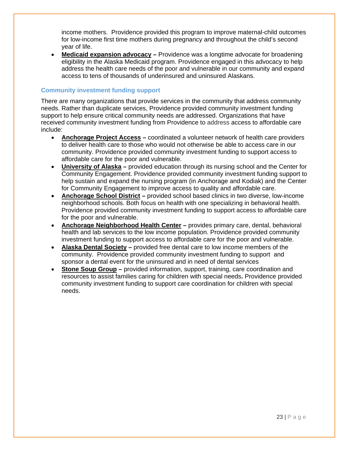income mothers. Providence provided this program to improve maternal-child outcomes for low-income first time mothers during pregnancy and throughout the child's second year of life.

 **Medicaid expansion advocacy –** Providence was a longtime advocate for broadening eligibility in the Alaska Medicaid program. Providence engaged in this advocacy to help address the health care needs of the poor and vulnerable in our community and expand access to tens of thousands of underinsured and uninsured Alaskans.

#### **Community investment funding support**

There are many organizations that provide services in the community that address community needs. Rather than duplicate services, Providence provided community investment funding support to help ensure critical community needs are addressed. Organizations that have received community investment funding from Providence to address access to affordable care include:

- **Anchorage Project Access** coordinated a volunteer network of health care providers to deliver health care to those who would not otherwise be able to access care in our community. Providence provided community investment funding to support access to affordable care for the poor and vulnerable.
- **University of Alaska** provided education through its nursing school and the Center for Community Engagement. Providence provided community investment funding support to help sustain and expand the nursing program (in Anchorage and Kodiak) and the Center for Community Engagement to improve access to quality and affordable care.
- **Anchorage School District** provided school based clinics in two diverse, low-income neighborhood schools. Both focus on health with one specializing in behavioral health. Providence provided community investment funding to support access to affordable care for the poor and vulnerable.
- **Anchorage Neighborhood Health Center** provides primary care, dental, behavioral health and lab services to the low income population. Providence provided community investment funding to support access to affordable care for the poor and vulnerable.
- **Alaska Dental Society** provided free dental care to low income members of the community. Providence provided community investment funding to support and sponsor a dental event for the uninsured and in need of dental services
- **Stone Soup Group** provided information, support, training, care coordination and resources to assist families caring for children with special needs**.** Providence provided community investment funding to support care coordination for children with special needs.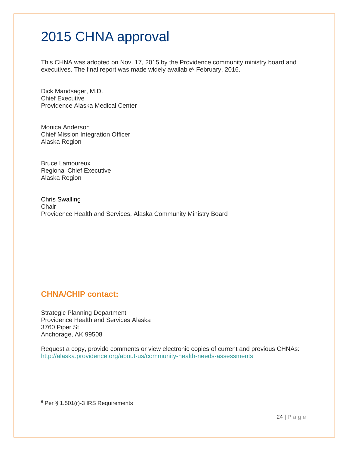# 2015 CHNA approval

This CHNA was adopted on Nov. 17, 2015 by the Providence community ministry board and executives. The final report was made widely available<sup>6</sup> February, 2016.

Dick Mandsager, M.D. Chief Executive Providence Alaska Medical Center

Monica Anderson Chief Mission Integration Officer Alaska Region

Bruce Lamoureux Regional Chief Executive Alaska Region

Chris Swalling **Chair** Providence Health and Services, Alaska Community Ministry Board

# **CHNA/CHIP contact:**

Strategic Planning Department Providence Health and Services Alaska 3760 Piper St Anchorage, AK 99508

Request a copy, provide comments or view electronic copies of current and previous CHNAs: http://alaska.providence.org/about-us/community-health-needs-assessments

6 Per § 1.501(r)-3 IRS Requirements

 $\overline{a}$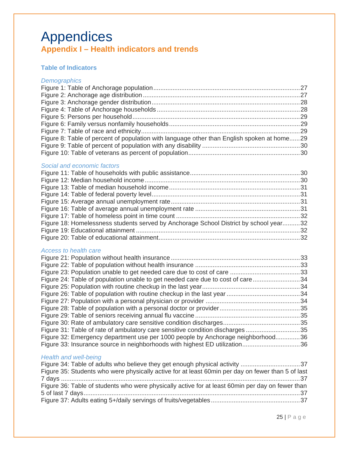# Appendices **Appendix I – Health indicators and trends**

#### **Table of Indicators**

#### *Demographics*

| Figure 8: Table of percent of population with language other than English spoken at home29 |  |
|--------------------------------------------------------------------------------------------|--|
|                                                                                            |  |
|                                                                                            |  |
|                                                                                            |  |

#### *Social and economic factors*

| Figure 18: Homelessness students served by Anchorage School District by school year32 |
|---------------------------------------------------------------------------------------|
|                                                                                       |
|                                                                                       |
|                                                                                       |

#### *Access to health care*

| Figure 24: Table of population unable to get needed care due to cost of care34  |  |
|---------------------------------------------------------------------------------|--|
|                                                                                 |  |
|                                                                                 |  |
|                                                                                 |  |
|                                                                                 |  |
|                                                                                 |  |
|                                                                                 |  |
| Figure 31: Table of rate of ambulatory care sensitive condition discharges 35   |  |
| Figure 32: Emergency department use per 1000 people by Anchorage neighborhood36 |  |
| Figure 33: Insurance source in neighborhoods with highest ED utilization36      |  |
|                                                                                 |  |

#### *Health and well-being*

| Figure 35: Students who were physically active for at least 60min per day on fewer than 5 of last |  |
|---------------------------------------------------------------------------------------------------|--|
|                                                                                                   |  |
| Figure 36: Table of students who were physically active for at least 60min per day on fewer than  |  |
|                                                                                                   |  |
|                                                                                                   |  |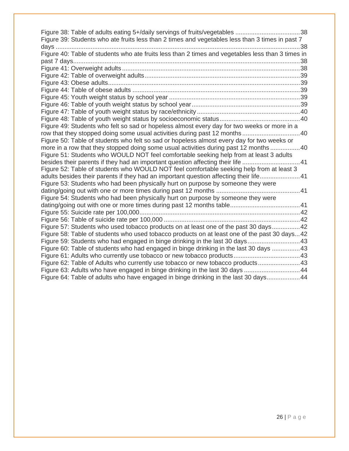| Figure 39: Students who ate fruits less than 2 times and vegetables less than 3 times in past 7   |  |
|---------------------------------------------------------------------------------------------------|--|
|                                                                                                   |  |
| Figure 40: Table of students who ate fruits less than 2 times and vegetables less than 3 times in |  |
|                                                                                                   |  |
|                                                                                                   |  |
|                                                                                                   |  |
|                                                                                                   |  |
|                                                                                                   |  |
|                                                                                                   |  |
|                                                                                                   |  |
|                                                                                                   |  |
|                                                                                                   |  |
| Figure 49: Students who felt so sad or hopeless almost every day for two weeks or more in a       |  |
| row that they stopped doing some usual activities during past 12 months40                         |  |
| Figure 50: Table of students who felt so sad or hopeless almost every day for two weeks or        |  |
| more in a row that they stopped doing some usual activities during past 12 months 40              |  |
| Figure 51: Students who WOULD NOT feel comfortable seeking help from at least 3 adults            |  |
| besides their parents if they had an important question affecting their life 41                   |  |
| Figure 52: Table of students who WOULD NOT feel comfortable seeking help from at least 3          |  |
| adults besides their parents if they had an important question affecting their life41             |  |
| Figure 53: Students who had been physically hurt on purpose by someone they were                  |  |
|                                                                                                   |  |
| Figure 54: Students who had been physically hurt on purpose by someone they were                  |  |
|                                                                                                   |  |
|                                                                                                   |  |
|                                                                                                   |  |
| Figure 57: Students who used tobacco products on at least one of the past 30 days42               |  |
| Figure 58: Table of students who used tobacco products on at least one of the past 30 days42      |  |
| Figure 59: Students who had engaged in binge drinking in the last 30 days 43                      |  |
| Figure 60: Table of students who had engaged in binge drinking in the last 30 days 43             |  |
|                                                                                                   |  |
| Figure 62: Table of Adults who currently use tobacco or new tobacco products 43                   |  |
| Figure 63: Adults who have engaged in binge drinking in the last 30 days 44                       |  |
| Figure 64: Table of adults who have engaged in binge drinking in the last 30 days 44              |  |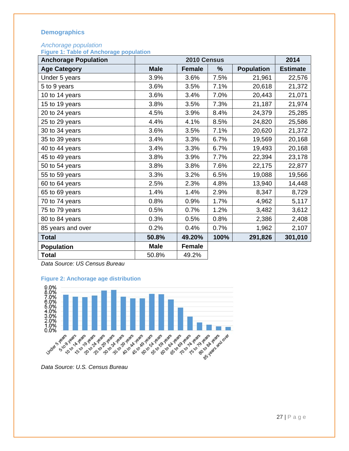## **Demographics**

#### *Anchorage population*

**Figure 1: Table of Anchorage population** 

| <b>Anchorage Population</b> |             | 2014          |      |                   |                 |
|-----------------------------|-------------|---------------|------|-------------------|-----------------|
| <b>Age Category</b>         | <b>Male</b> | <b>Female</b> | $\%$ | <b>Population</b> | <b>Estimate</b> |
| Under 5 years               | 3.9%        | 3.6%          | 7.5% | 21,961            | 22,576          |
| 5 to 9 years                | 3.6%        | 3.5%          | 7.1% | 20,618            | 21,372          |
| 10 to 14 years              | 3.6%        | 3.4%          | 7.0% | 20,443            | 21,071          |
| 15 to 19 years              | 3.8%        | 3.5%          | 7.3% | 21,187            | 21,974          |
| 20 to 24 years              | 4.5%        | 3.9%          | 8.4% | 24,379            | 25,285          |
| 25 to 29 years              | 4.4%        | 4.1%          | 8.5% | 24,820            | 25,586          |
| 30 to 34 years              | 3.6%        | 3.5%          | 7.1% | 20,620            | 21,372          |
| 35 to 39 years              | 3.4%        | 3.3%          | 6.7% | 19,569            | 20,168          |
| 40 to 44 years              | 3.4%        | 3.3%          | 6.7% | 19,493            | 20,168          |
| 45 to 49 years              | 3.8%        | 3.9%          | 7.7% | 22,394            | 23,178          |
| 50 to 54 years              | 3.8%        | 3.8%          | 7.6% | 22,175            | 22,877          |
| 55 to 59 years              | 3.3%        | 3.2%          | 6.5% | 19,088            | 19,566          |
| 60 to 64 years              | 2.5%        | 2.3%          | 4.8% | 13,940            | 14,448          |
| 65 to 69 years              | 1.4%        | 1.4%          | 2.9% | 8,347             | 8,729           |
| 70 to 74 years              | 0.8%        | 0.9%          | 1.7% | 4,962             | 5,117           |
| 75 to 79 years              | 0.5%        | 0.7%          | 1.2% | 3,482             | 3,612           |
| 80 to 84 years              | 0.3%        | 0.5%          | 0.8% | 2,386             | 2,408           |
| 85 years and over           | 0.2%        | 0.4%          | 0.7% | 1,962             | 2,107           |
| <b>Total</b>                | 50.8%       | 49.20%        | 100% | 291,826           | 301,010         |
| <b>Population</b>           | <b>Male</b> | <b>Female</b> |      |                   |                 |
| <b>Total</b>                | 50.8%       | 49.2%         |      |                   |                 |

*Data Source: US Census Bureau* 



**Figure 2: Anchorage age distribution**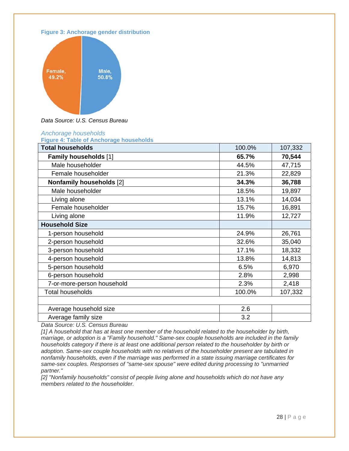



*Data Source: U.S. Census Bureau*

#### *Anchorage households*

**Figure 4: Table of Anchorage households** 

| <b>Total households</b>         | 100.0% | 107,332 |
|---------------------------------|--------|---------|
| <b>Family households [1]</b>    | 65.7%  | 70,544  |
| Male householder                | 44.5%  | 47,715  |
| Female householder              | 21.3%  | 22,829  |
| <b>Nonfamily households [2]</b> | 34.3%  | 36,788  |
| Male householder                | 18.5%  | 19,897  |
| Living alone                    | 13.1%  | 14,034  |
| Female householder              | 15.7%  | 16,891  |
| Living alone                    | 11.9%  | 12,727  |
| <b>Household Size</b>           |        |         |
| 1-person household              | 24.9%  | 26,761  |
| 2-person household              | 32.6%  | 35,040  |
| 3-person household              | 17.1%  | 18,332  |
| 4-person household              | 13.8%  | 14,813  |
| 5-person household              | 6.5%   | 6,970   |
| 6-person household              | 2.8%   | 2,998   |
| 7-or-more-person household      | 2.3%   | 2,418   |
| <b>Total households</b>         | 100.0% | 107,332 |
|                                 |        |         |
| Average household size          | 2.6    |         |
| Average family size             | 3.2    |         |

*Data Source: U.S. Census Bureau* 

*[1] A household that has at least one member of the household related to the householder by birth, marriage, or adoption is a "Family household." Same-sex couple households are included in the family households category if there is at least one additional person related to the householder by birth or adoption. Same-sex couple households with no relatives of the householder present are tabulated in nonfamily households, even if the marriage was performed in a state issuing marriage certificates for same-sex couples. Responses of "same-sex spouse" were edited during processing to "unmarried partner."* 

*[2] "Nonfamily households" consist of people living alone and households which do not have any members related to the householder.*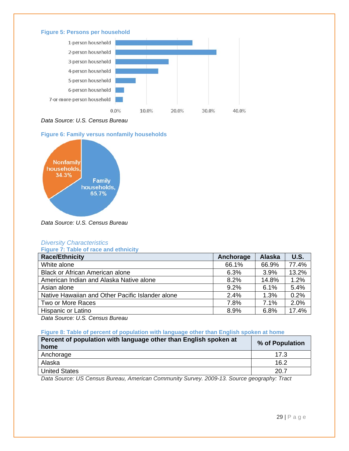#### **Figure 5: Persons per household**



*Data Source: U.S. Census Bureau*

#### **Figure 6: Family versus nonfamily households**



*Data Source: U.S. Census Bureau* 

#### *Diversity Characteristics*

**Figure 7: Table of race and ethnicity** 

| <b>Race/Ethnicity</b>                            | Anchorage | <b>Alaska</b> | <b>U.S.</b> |
|--------------------------------------------------|-----------|---------------|-------------|
| White alone                                      | 66.1%     | 66.9%         | 77.4%       |
| <b>Black or African American alone</b>           | 6.3%      | 3.9%          | 13.2%       |
| American Indian and Alaska Native alone          | 8.2%      | 14.8%         | 1.2%        |
| Asian alone                                      | 9.2%      | 6.1%          | 5.4%        |
| Native Hawaiian and Other Pacific Islander alone | 2.4%      | 1.3%          | 0.2%        |
| Two or More Races                                | 7.8%      | 7.1%          | 2.0%        |
| Hispanic or Latino                               | 8.9%      | 6.8%          | 17.4%       |

*Data Source: U.S. Census Bureau* 

#### **Figure 8: Table of percent of population with language other than English spoken at home**

| Percent of population with language other than English spoken at                                                                                                                                                                     | % of Population |
|--------------------------------------------------------------------------------------------------------------------------------------------------------------------------------------------------------------------------------------|-----------------|
| home                                                                                                                                                                                                                                 |                 |
| Anchorage                                                                                                                                                                                                                            | 17.3            |
| Alaska                                                                                                                                                                                                                               | 16.2            |
| <b>United States</b>                                                                                                                                                                                                                 | 20.7            |
| $\sim$<br>$\begin{array}{c} \n\bullet \bullet \bullet \bullet \bullet \quad \bullet \quad \bullet \quad \bullet \n\end{array}$<br>$\sim$ $\sim$ $\sim$ $\sim$<br>$\sim$ $\sim$<br>$\overline{\phantom{0}}$<br>$\sim$<br>$\mathbf{a}$ | $-$             |

*Data Source: US Census Bureau, American Community Survey. 2009-13. Source geography: Tract*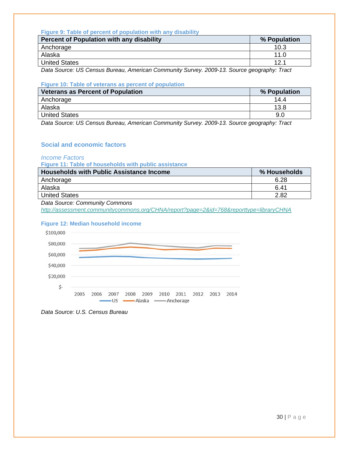#### **Figure 9: Table of percent of population with any disability**

| Percent of Population with any disability | % Population |
|-------------------------------------------|--------------|
| Anchorage                                 | 10.3         |
| Alaska                                    | 11 በ         |
| <b>United States</b>                      | 12 1         |

*Data Source: US Census Bureau, American Community Survey. 2009-13. Source geography: Tract* 

#### **Figure 10: Table of veterans as percent of population**

| <b>Veterans as Percent of Population</b> | % Population |
|------------------------------------------|--------------|
| Anchorage                                | 14.4         |
| Alaska                                   | 13.8         |
| United States                            | 9.0          |
|                                          |              |

*Data Source: US Census Bureau, American Community Survey. 2009-13. Source geography: Tract* 

#### **Social and economic factors**

#### *Income Factors*

**Figure 11: Table of households with public assistance** 

| <b>Households with Public Assistance Income</b> | % Households |
|-------------------------------------------------|--------------|
| Anchorage                                       | 6.28         |
| Alaska                                          | 6.41         |
| <b>United States</b>                            | 2.82         |

*Data Source: Community Commons* 

*http://assessment.communitycommons.org/CHNA/report?page=2&id=768&reporttype=libraryCHNA*

#### **Figure 12: Median household income**



*Data Source: U.S. Census Bureau*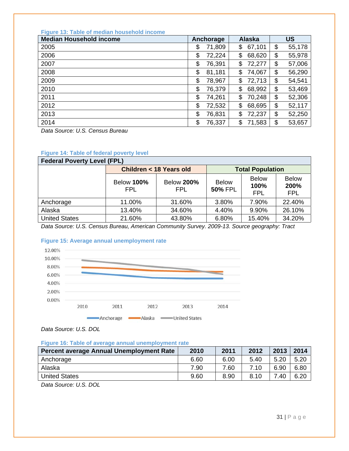|  |  | <b>Figure 13: Table of median household income</b> |  |
|--|--|----------------------------------------------------|--|
|  |  |                                                    |  |

| <b>Median Household income</b> | Anchorage |        | <b>Alaska</b> | <b>US</b>    |
|--------------------------------|-----------|--------|---------------|--------------|
| 2005                           | \$        | 71,809 | \$<br>67,101  | \$<br>55,178 |
| 2006                           | \$        | 72,224 | \$<br>68,620  | \$<br>55,978 |
| 2007                           | \$        | 76,391 | \$<br>72,277  | \$<br>57,006 |
| 2008                           | \$        | 81,181 | \$<br>74,067  | \$<br>56,290 |
| 2009                           | \$        | 78,967 | \$<br>72,713  | \$<br>54,541 |
| 2010                           | \$        | 76,379 | \$<br>68,992  | \$<br>53,469 |
| 2011                           | \$        | 74,261 | \$<br>70,248  | \$<br>52,306 |
| 2012                           | \$        | 72,532 | \$<br>68,695  | \$<br>52,117 |
| 2013                           | \$        | 76,831 | \$<br>72,237  | \$<br>52,250 |
| 2014                           | \$        | 76,337 | \$<br>71,583  | \$<br>53,657 |

*Data Source: U.S. Census Bureau* 

| <b>Federal Poverty Level (FPL)</b> |                           |                                 |                                |                                    |                                    |  |  |
|------------------------------------|---------------------------|---------------------------------|--------------------------------|------------------------------------|------------------------------------|--|--|
|                                    | Children < 18 Years old   |                                 | <b>Total Population</b>        |                                    |                                    |  |  |
|                                    | <b>Below 100%</b><br>FPL. | <b>Below 200%</b><br><b>FPL</b> | <b>Below</b><br><b>50% FPL</b> | <b>Below</b><br>100%<br><b>FPL</b> | <b>Below</b><br>200%<br><b>FPL</b> |  |  |
| Anchorage                          | 11.00%                    | 31.60%                          | 3.80%                          | 7.90%                              | 22.40%                             |  |  |
| Alaska                             | 13.40%                    | 34.60%                          | 4.40%                          | 9.90%                              | 26.10%                             |  |  |
| <b>United States</b>               | 21.60%                    | 43.80%                          | 6.80%                          | 15.40%                             | 34.20%                             |  |  |

#### **Figure 14: Table of federal poverty level**

*Data Source: U.S. Census Bureau, American Community Survey. 2009-13. Source geography: Tract* 

#### **Figure 15: Average annual unemployment rate**



*Data Source: U.S. DOL* 

#### **Figure 16: Table of average annual unemployment rate**

| Percent average Annual Unemployment Rate | 2010 | 2011 | 2012 | 2013 | 2014 |
|------------------------------------------|------|------|------|------|------|
| Anchorage                                | 6.60 | 6.00 | 5.40 | 5.20 | 5.20 |
| Alaska                                   | 7.90 | 7.60 | 7.10 | 6.90 | 6.80 |
| <b>United States</b>                     | 9.60 | 8.90 | 8.10 | 7.40 | 6.20 |
| .<br>______                              |      |      |      |      |      |

*Data Source: U.S. DOL*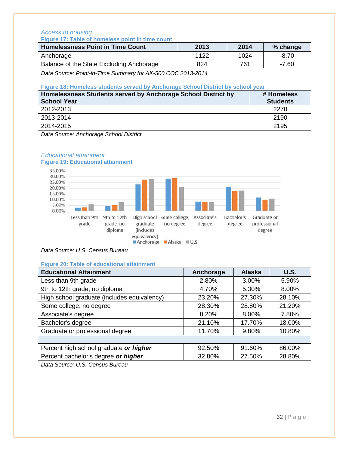#### *Access to housing*  **Figure 17: Table of homeless point in time count**

| 2013 | 2014 | % change |
|------|------|----------|
| 1122 | 1024 | $-8.70$  |
| 824  | 761  | $-7.60$  |
|      |      |          |

*Data Source: Point-in-Time Summary for AK-500 COC 2013-2014* 

#### **Figure 18: Homeless students served by Anchorage School District by school year**

| Homelessness Students served by Anchorage School District by<br><b>School Year</b> | # Homeless<br><b>Students</b> |
|------------------------------------------------------------------------------------|-------------------------------|
| 2012-2013                                                                          | 2270                          |
| 2013-2014                                                                          | 2190                          |
| 2014-2015                                                                          | 2195                          |

*Data Source: Anchorage School District* 



#### *Educational attainment*  **Figure 19: Educational attainment**

#### **Figure 20: Table of educational attainment**

| <b>Educational Attainment</b>               | Anchorage | <b>Alaska</b> | <b>U.S.</b> |
|---------------------------------------------|-----------|---------------|-------------|
| Less than 9th grade                         | 2.80%     | 3.00%         | 5.90%       |
| 9th to 12th grade, no diploma               | 4.70%     | 5.30%         | 8.00%       |
| High school graduate (includes equivalency) | 23.20%    | 27.30%        | 28.10%      |
| Some college, no degree                     | 28.30%    | 28.80%        | 21.20%      |
| Associate's degree                          | 8.20%     | 8.00%         | 7.80%       |
| Bachelor's degree                           | 21.10%    | 17.70%        | 18.00%      |
| Graduate or professional degree             | 11.70%    | 9.80%         | 10.80%      |
|                                             |           |               |             |
| Percent high school graduate or higher      | 92.50%    | 91.60%        | 86.00%      |
| Percent bachelor's degree or higher         | 32.80%    | 27.50%        | 28.80%      |

*Data Source: U.S. Census Bureau* 

*Data Source: U.S. Census Bureau*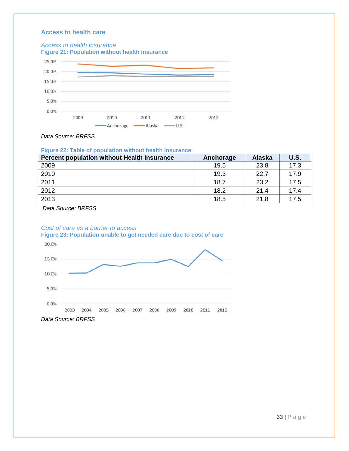#### **Access to health care**

#### *Access to health insurance*



*Data Source: BRFSS* 

#### **Figure 22: Table of population without health insurance**

| <b>Percent population without Health Insurance</b> | Anchorage | <b>Alaska</b> | <b>U.S.</b> |
|----------------------------------------------------|-----------|---------------|-------------|
| 2009                                               | 19.5      | 23.8          | 17.3        |
| 2010                                               | 19.3      | 22.7          | 17.9        |
| 2011                                               | 18.7      | 23.2          | 17.5        |
| 2012                                               | 18.2      | 21.4          | 17.4        |
| 2013                                               | 18.5      | 21.8          | 17.5        |

 *Data Source: BRFSS* 

#### *Cost of care as a barrier to access*  **Figure 23: Population unable to get needed care due to cost of care**



33 | Page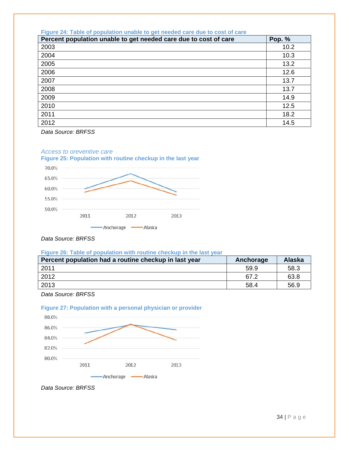| Figure 24: Table of population unable to get needed care due to cost of care |        |
|------------------------------------------------------------------------------|--------|
| Percent population unable to get needed care due to cost of care             | Pop. % |
| 2003                                                                         | 10.2   |
| 2004                                                                         | 10.3   |
| 2005                                                                         | 13.2   |
| 2006                                                                         | 12.6   |
| 2007                                                                         | 13.7   |
| 2008                                                                         | 13.7   |
| 2009                                                                         | 14.9   |
| 2010                                                                         | 12.5   |
| 2011                                                                         | 18.2   |
| 2012                                                                         | 14.5   |

*Data Source: BRFSS* 

#### *Access to oreventive care*





*Data Source: BRFSS* 

#### **Figure 26: Table of population with routine checkup in the last year**

| Percent population had a routine checkup in last year | Anchorage | <b>Alaska</b> |
|-------------------------------------------------------|-----------|---------------|
| 2011                                                  | 59.9      | 58.3          |
| 2012                                                  | 67.2      | 63.8          |
| 2013                                                  | 58.4      | 56.9          |

*Data Source: BRFSS* 





*Data Source: BRFSS*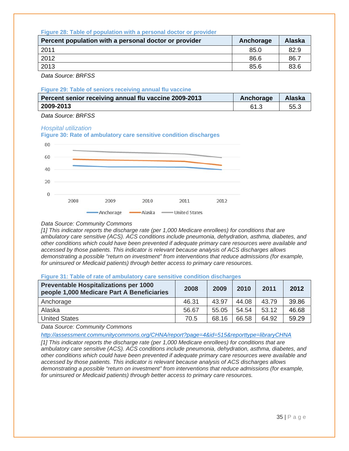#### **Figure 28: Table of population with a personal doctor or provider**

| Percent population with a personal doctor or provider | Anchorage | Alaska |
|-------------------------------------------------------|-----------|--------|
| 2011                                                  | 85.0      | 82.9   |
| 2012                                                  | 86.6      | 86.7   |
| 2013                                                  | 85.6      | 83.6   |

*Data Source: BRFSS* 

#### **Figure 29: Table of seniors receiving annual flu vaccine**

| Percent senior receiving annual flu vaccine 2009-2013 | Anchorage | Alaska |
|-------------------------------------------------------|-----------|--------|
| 2009-2013                                             |           | 55.3   |

*Data Source: BRFSS* 

#### *Hospital utilization*



#### *Data Source: Community Commons*

*[1] This indicator reports the discharge rate (per 1,000 Medicare enrollees) for conditions that are ambulatory care sensitive (ACS). ACS conditions include pneumonia, dehydration, asthma, diabetes, and other conditions which could have been prevented if adequate primary care resources were available and accessed by those patients. This indicator is relevant because analysis of ACS discharges allows demonstrating a possible "return on investment" from interventions that reduce admissions (for example, for uninsured or Medicaid patients) through better access to primary care resources.* 

#### **Figure 31: Table of rate of ambulatory care sensitive condition discharges**

| <b>Preventable Hospitalizations per 1000</b><br>people 1,000 Medicare Part A Beneficiaries | 2008  | 2009  | 2010  | 2011  | 2012  |
|--------------------------------------------------------------------------------------------|-------|-------|-------|-------|-------|
| Anchorage                                                                                  | 46.31 | 43.97 | 44.08 | 43.79 | 39.86 |
| Alaska                                                                                     | 56.67 | 55.05 | 54.54 | 53.12 | 46.68 |
| <b>United States</b>                                                                       | 70.5  | 68.16 | 66.58 | 64.92 | 59.29 |

*Data Source: Community Commons* 

*http://assessment.communitycommons.org/CHNA/report?page=4&id=515&reporttype=libraryCHNA*

*[1] This indicator reports the discharge rate (per 1,000 Medicare enrollees) for conditions that are ambulatory care sensitive (ACS). ACS conditions include pneumonia, dehydration, asthma, diabetes, and other conditions which could have been prevented if adequate primary care resources were available and accessed by those patients. This indicator is relevant because analysis of ACS discharges allows demonstrating a possible "return on investment" from interventions that reduce admissions (for example, for uninsured or Medicaid patients) through better access to primary care resources.*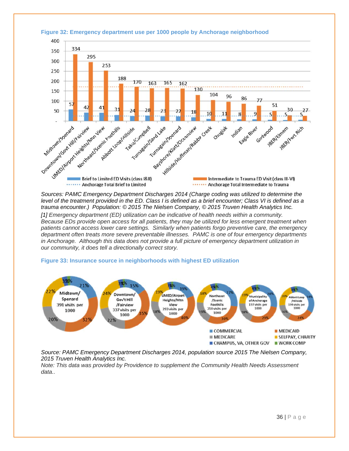

#### **Figure 32: Emergency department use per 1000 people by Anchorage neighborhood**

*Sources: PAMC Emergency Department Discharges 2014 (Charge coding was utilized to determine the level of the treatment provided in the ED. Class I is defined as a brief encounter; Class VI is defined as a trauma encounter.) Population: © 2015 The Nielsen Company, © 2015 Truven Health Analytics Inc. [1] Emergency department (ED) utilization can be indicative of health needs within a community. Because EDs provide open access for all patients, they may be utilized for less emergent treatment when patients cannot access lower care settings. Similarly when patients forgo preventive care, the emergency department often treats more severe preventable illnesses. PAMC is one of four emergency departments in Anchorage. Although this data does not provide a full picture of emergency department utilization in our community, it does tell a directionally correct story.*

#### **Figure 33: Insurance source in neighborhoods with highest ED utilization**



*Source: PAMC Emergency Department Discharges 2014, population source 2015 The Nielsen Company, 2015 Truven Health Analytics Inc.* 

*Note: This data was provided by Providence to supplement the Community Health Needs Assessment data..*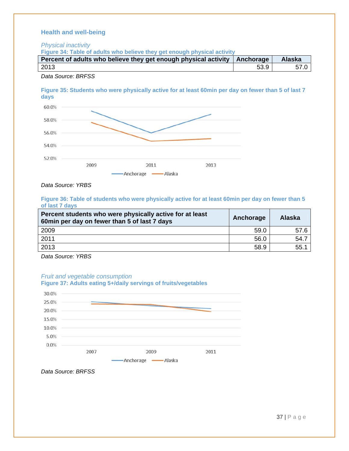#### **Health and well-being**

*Physical inactivity* 

**Figure 34: Table of adults who believe they get enough physical activity** 

| Percent of adults who believe they get enough physical activity   Anchorage |      | <b>Alaska</b> |
|-----------------------------------------------------------------------------|------|---------------|
| 2013                                                                        | 53.9 |               |

*Data Source: BRFSS* 

**Figure 35: Students who were physically active for at least 60min per day on fewer than 5 of last 7 days** 



*Data Source: YRBS* 

**Figure 36: Table of students who were physically active for at least 60min per day on fewer than 5 of last 7 days** 

| Percent students who were physically active for at least<br>60min per day on fewer than 5 of last 7 days | Anchorage | Alaska |
|----------------------------------------------------------------------------------------------------------|-----------|--------|
| 2009                                                                                                     | 59.0      | 57.6   |
| 2011                                                                                                     | 56.0      | 54.7   |
| 2013                                                                                                     | 58.9      | 55.1   |

*Data Source: YRBS* 

#### *Fruit and vegetable consumption*



*Data Source: BRFSS*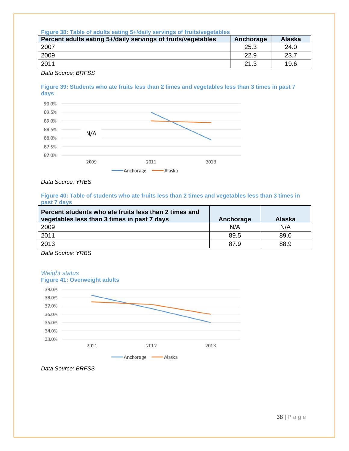#### **Figure 38: Table of adults eating 5+/daily servings of fruits/vegetables**

| Percent adults eating 5+/daily servings of fruits/vegetables | Anchorage | <b>Alaska</b> |
|--------------------------------------------------------------|-----------|---------------|
| 2007                                                         | 25.3      | 24.0          |
| 2009                                                         | 22.9      | 23.7          |
| 2011                                                         | 21.3      | 19.6          |
|                                                              |           |               |

*Data Source: BRFSS* 

#### **Figure 39: Students who ate fruits less than 2 times and vegetables less than 3 times in past 7 days**



*Data Source: YRBS* 

#### **Figure 40: Table of students who ate fruits less than 2 times and vegetables less than 3 times in past 7 days**

| Percent students who ate fruits less than 2 times and<br>vegetables less than 3 times in past 7 days | Anchorage | <b>Alaska</b> |
|------------------------------------------------------------------------------------------------------|-----------|---------------|
| 2009                                                                                                 | N/A       | N/A           |
| 2011                                                                                                 | 89.5      | 89.0          |
| 2013                                                                                                 | 87.9      | 88.9          |

*Data Source: YRBS* 





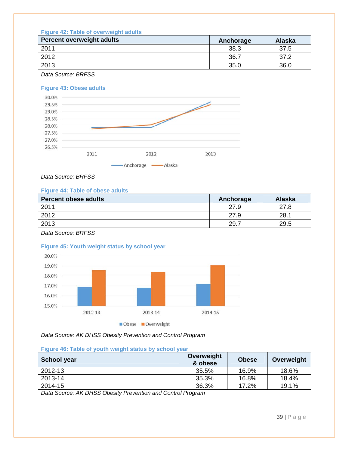#### **Figure 42: Table of overweight adults**

| <b>Percent overweight adults</b> | Anchorage | <b>Alaska</b> |
|----------------------------------|-----------|---------------|
| 2011                             | 38.3      | 37.5          |
| 2012                             | 36.7      | 37.2          |
| 2013                             | 35.0      | 36.0          |
|                                  |           |               |

*Data Source: BRFSS* 

#### **Figure 43: Obese adults**



#### *Data Source: BRFSS*

#### **Figure 44: Table of obese adults**

| <b>Percent obese adults</b> | Anchorage | <b>Alaska</b> |
|-----------------------------|-----------|---------------|
| 2011                        | 27.9      | 27.8          |
| 2012                        | 27.9      | 28.1          |
| 2013                        | 29.7      | 29.5          |

*Data Source: BRFSS* 

#### **Figure 45: Youth weight status by school year**



*Data Source: AK DHSS Obesity Prevention and Control Program* 

#### **Figure 46: Table of youth weight status by school year**

| School year | Overweight<br>& obese | <b>Obese</b> | Overweight |
|-------------|-----------------------|--------------|------------|
| 2012-13     | 35.5%                 | 16.9%        | 18.6%      |
| 2013-14     | 35.3%                 | 16.8%        | 18.4%      |
| 2014-15     | 36.3%                 | 17.2%        | 19.1%      |

*Data Source: AK DHSS Obesity Prevention and Control Program*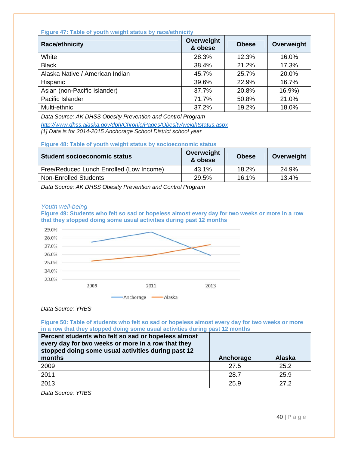#### **Figure 47: Table of youth weight status by race/ethnicity**

| <b>Race/ethnicity</b>           | Overweight<br>& obese | <b>Obese</b> | Overweight |
|---------------------------------|-----------------------|--------------|------------|
| White                           | 28.3%                 | 12.3%        | 16.0%      |
| <b>Black</b>                    | 38.4%                 | 21.2%        | 17.3%      |
| Alaska Native / American Indian | 45.7%                 | 25.7%        | 20.0%      |
| Hispanic                        | 39.6%                 | 22.9%        | 16.7%      |
| Asian (non-Pacific Islander)    | 37.7%                 | 20.8%        | 16.9%)     |
| Pacific Islander                | 71.7%                 | 50.8%        | 21.0%      |
| Multi-ethnic                    | 37.2%                 | 19.2%        | 18.0%      |

*Data Source: AK DHSS Obesity Prevention and Control Program* 

*http://www.dhss.alaska.gov/dph/Chronic/Pages/Obesity/weightstatus.aspx [1] Data is for 2014-2015 Anchorage School District school year* 

**Figure 48: Table of youth weight status by socioeconomic status** 

| Student socioeconomic status             | Overweight<br>& obese | <b>Obese</b> | Overweight |
|------------------------------------------|-----------------------|--------------|------------|
| Free/Reduced Lunch Enrolled (Low Income) | 43.1%                 | 18.2%        | 24.9%      |
| Non-Enrolled Students                    | 29.5%                 | 16.1%        | 13.4%      |

*Data Source: AK DHSS Obesity Prevention and Control Program* 

#### *Youth well-being*

**Figure 49: Students who felt so sad or hopeless almost every day for two weeks or more in a row that they stopped doing some usual activities during past 12 months** 



#### *Data Source: YRBS*

**Figure 50: Table of students who felt so sad or hopeless almost every day for two weeks or more in a row that they stopped doing some usual activities during past 12 months** 

| Percent students who felt so sad or hopeless almost<br>every day for two weeks or more in a row that they<br>stopped doing some usual activities during past 12<br>months | Anchorage | <b>Alaska</b> |
|---------------------------------------------------------------------------------------------------------------------------------------------------------------------------|-----------|---------------|
| 2009                                                                                                                                                                      | 27.5      | 25.2          |
| 2011                                                                                                                                                                      | 28.7      | 25.9          |
| 2013                                                                                                                                                                      | 25.9      | 27.2          |

*Data Source: YRBS*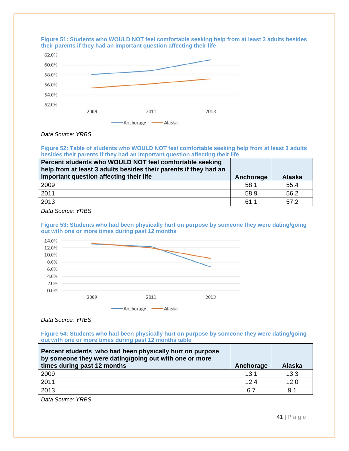



#### *Data Source: YRBS*

**Figure 52: Table of students who WOULD NOT feel comfortable seeking help from at least 3 adults besides their parents if they had an important question affecting their life** 

| Percent students who WOULD NOT feel comfortable seeking<br>help from at least 3 adults besides their parents if they had an<br>important question affecting their life | Anchorage | <b>Alaska</b> |
|------------------------------------------------------------------------------------------------------------------------------------------------------------------------|-----------|---------------|
| 2009                                                                                                                                                                   | 58.1      | 55.4          |
| 2011                                                                                                                                                                   | 58.9      | 56.2          |
| 2013                                                                                                                                                                   | 61.1      | 57.2          |

*Data Source: YRBS* 

**Figure 53: Students who had been physically hurt on purpose by someone they were dating/going out with one or more times during past 12 months** 



*Data Source: YRBS* 

**Figure 54: Students who had been physically hurt on purpose by someone they were dating/going out with one or more times during past 12 months table** 

| Percent students who had been physically hurt on purpose<br>by someone they were dating/going out with one or more<br>times during past 12 months | Anchorage | <b>Alaska</b> |
|---------------------------------------------------------------------------------------------------------------------------------------------------|-----------|---------------|
| 2009                                                                                                                                              | 13.1      | 13.3          |
| 2011                                                                                                                                              | 12.4      | 12.0          |
| 2013                                                                                                                                              | 6.7       | 9.1           |

*Data Source: YRBS*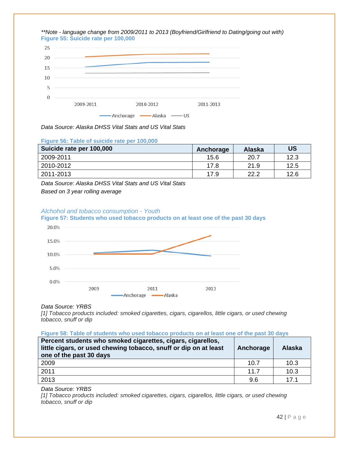

*Data Source: Alaska DHSS Vital Stats and US Vital Stats* 

| Figure 56: Table of suicide rate per 100,000 |           |        |           |
|----------------------------------------------|-----------|--------|-----------|
| Suicide rate per 100,000                     | Anchorage | Alaska | <b>US</b> |
| 2009-2011                                    | 15.6      | 20.7   | 12.3      |
| 2010-2012                                    | 17.8      | 21.9   | 12.5      |
| 2011-2013                                    | 17.9      | 22.2   | 12.6      |

*Data Source: Alaska DHSS Vital Stats and US Vital Stats* 

*Based on 3 year rolling average* 

#### *Alchohol and tobacco consumption - Youth*



#### **Figure 57: Students who used tobacco products on at least one of the past 30 days**

#### *Data Source: YRBS*

*[1] Tobacco products included: smoked cigarettes, cigars, cigarellos, little cigars, or used chewing tobacco, snuff or dip* 

#### **Figure 58: Table of students who used tobacco products on at least one of the past 30 days**

| Percent students who smoked cigarettes, cigars, cigarellos,<br>little cigars, or used chewing tobacco, snuff or dip on at least<br>one of the past 30 days | Anchorage | <b>Alaska</b> |
|------------------------------------------------------------------------------------------------------------------------------------------------------------|-----------|---------------|
| 2009                                                                                                                                                       | 10.7      | 10.3          |
| 2011                                                                                                                                                       | 11.7      | 10.3          |
| 2013                                                                                                                                                       | 9.6       | 17.1          |

*Data Source: YRBS* 

*[1] Tobacco products included: smoked cigarettes, cigars, cigarellos, little cigars, or used chewing tobacco, snuff or dip* 

42 | Page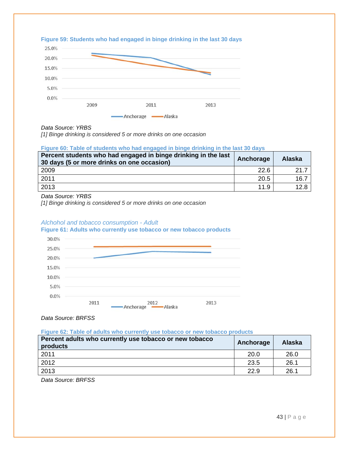

#### **Figure 59: Students who had engaged in binge drinking in the last 30 days**

#### *Data Source: YRBS*

*[1] Binge drinking is considered 5 or more drinks on one occasion* 

#### **Figure 60: Table of students who had engaged in binge drinking in the last 30 days**

| Percent students who had engaged in binge drinking in the last<br>30 days (5 or more drinks on one occasion) | Anchorage | <b>Alaska</b> |
|--------------------------------------------------------------------------------------------------------------|-----------|---------------|
| 2009                                                                                                         | 22.6      | 21.7          |
| 2011                                                                                                         | 20.5      | 16.7          |
| 2013                                                                                                         | 11.9      | 12.8          |

*Data Source: YRBS* 

*[1] Binge drinking is considered 5 or more drinks on one occasion* 

#### *Alchohol and tobacco consumption - Adult*

**Figure 61: Adults who currently use tobacco or new tobacco products** 



*Data Source: BRFSS* 

**Figure 62: Table of adults who currently use tobacco or new tobacco products** 

| Percent adults who currently use tobacco or new tobacco<br>products | Anchorage | <b>Alaska</b> |
|---------------------------------------------------------------------|-----------|---------------|
| 2011                                                                | 20.0      | 26.0          |
| 2012                                                                | 23.5      | 26.1          |
| 2013                                                                | 22.9      | 26.1          |

*Data Source: BRFSS*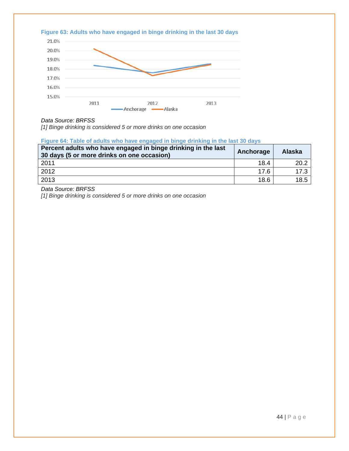

#### *Data Source: BRFSS*

*[1] Binge drinking is considered 5 or more drinks on one occasion* 

#### **Figure 64: Table of adults who have engaged in binge drinking in the last 30 days**

| Percent adults who have engaged in binge drinking in the last<br>30 days (5 or more drinks on one occasion) | Anchorage | <b>Alaska</b> |
|-------------------------------------------------------------------------------------------------------------|-----------|---------------|
| 2011                                                                                                        | 18.4      | 20.2          |
| 2012                                                                                                        | 176       | 17.3          |
| 2013                                                                                                        | 18.6      | 18.5          |

*Data Source: BRFSS*

*[1] Binge drinking is considered 5 or more drinks on one occasion*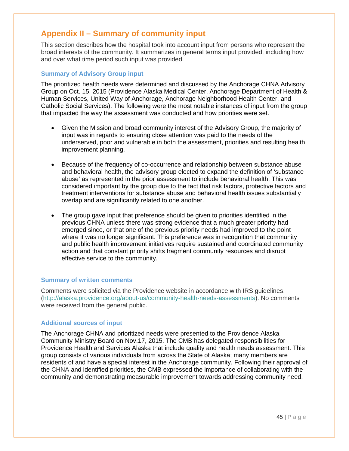# **Appendix II – Summary of community input**

This section describes how the hospital took into account input from persons who represent the broad interests of the community. It summarizes in general terms input provided, including how and over what time period such input was provided.

#### **Summary of Advisory Group input**

The prioritized health needs were determined and discussed by the Anchorage CHNA Advisory Group on Oct. 15, 2015 (Providence Alaska Medical Center, Anchorage Department of Health & Human Services, United Way of Anchorage, Anchorage Neighborhood Health Center, and Catholic Social Services). The following were the most notable instances of input from the group that impacted the way the assessment was conducted and how priorities were set.

- Given the Mission and broad community interest of the Advisory Group, the majority of input was in regards to ensuring close attention was paid to the needs of the underserved, poor and vulnerable in both the assessment, priorities and resulting health improvement planning.
- Because of the frequency of co-occurrence and relationship between substance abuse and behavioral health, the advisory group elected to expand the definition of 'substance abuse' as represented in the prior assessment to include behavioral health. This was considered important by the group due to the fact that risk factors, protective factors and treatment interventions for substance abuse and behavioral health issues substantially overlap and are significantly related to one another.
- The group gave input that preference should be given to priorities identified in the previous CHNA unless there was strong evidence that a much greater priority had emerged since, or that one of the previous priority needs had improved to the point where it was no longer significant. This preference was in recognition that community and public health improvement initiatives require sustained and coordinated community action and that constant priority shifts fragment community resources and disrupt effective service to the community.

#### **Summary of written comments**

Comments were solicited via the Providence website in accordance with IRS guidelines. (http://alaska.providence.org/about-us/community-health-needs-assessments). No comments were received from the general public.

#### **Additional sources of input**

The Anchorage CHNA and prioritized needs were presented to the Providence Alaska Community Ministry Board on Nov.17, 2015. The CMB has delegated responsibilities for Providence Health and Services Alaska that include quality and health needs assessment. This group consists of various individuals from across the State of Alaska; many members are residents of and have a special interest in the Anchorage community. Following their approval of the CHNA and identified priorities, the CMB expressed the importance of collaborating with the community and demonstrating measurable improvement towards addressing community need.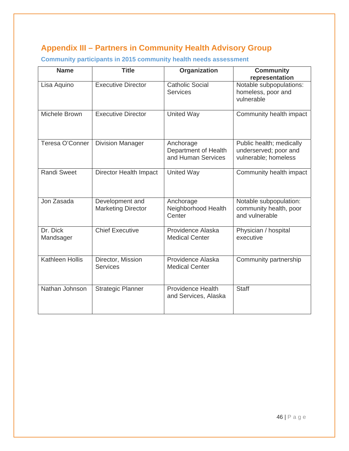# **Appendix III – Partners in Community Health Advisory Group**

| <b>Name</b>            | <b>Title</b>                                 | Organization                                            | <b>Community</b><br>representation                                        |
|------------------------|----------------------------------------------|---------------------------------------------------------|---------------------------------------------------------------------------|
| Lisa Aquino            | <b>Executive Director</b>                    | <b>Catholic Social</b><br><b>Services</b>               | Notable subpopulations:<br>homeless, poor and<br>vulnerable               |
| Michele Brown          | <b>Executive Director</b>                    | <b>United Way</b>                                       | Community health impact                                                   |
| Teresa O'Conner        | <b>Division Manager</b>                      | Anchorage<br>Department of Health<br>and Human Services | Public health; medically<br>underserved; poor and<br>vulnerable; homeless |
| <b>Randi Sweet</b>     | <b>Director Health Impact</b>                | <b>United Way</b>                                       | Community health impact                                                   |
| Jon Zasada             | Development and<br><b>Marketing Director</b> | Anchorage<br>Neighborhood Health<br>Center              | Notable subpopulation:<br>community health, poor<br>and vulnerable        |
| Dr. Dick<br>Mandsager  | <b>Chief Executive</b>                       | Providence Alaska<br><b>Medical Center</b>              | Physician / hospital<br>executive                                         |
| <b>Kathleen Hollis</b> | Director, Mission<br><b>Services</b>         | Providence Alaska<br><b>Medical Center</b>              | Community partnership                                                     |
| Nathan Johnson         | <b>Strategic Planner</b>                     | <b>Providence Health</b><br>and Services, Alaska        | <b>Staff</b>                                                              |

**Community participants in 2015 community health needs assessment**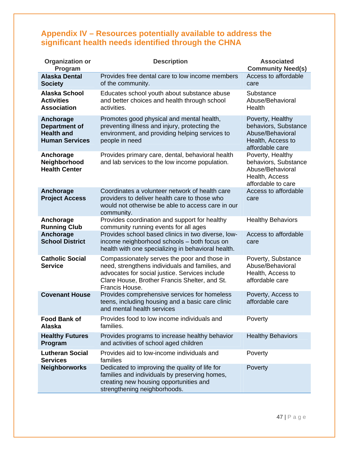# **Appendix IV – Resources potentially available to address the significant health needs identified through the CHNA**

| Organization or<br>Program                                                      | <b>Description</b>                                                                                                                                                                                                   | <b>Associated</b><br><b>Community Need(s)</b>                                                        |
|---------------------------------------------------------------------------------|----------------------------------------------------------------------------------------------------------------------------------------------------------------------------------------------------------------------|------------------------------------------------------------------------------------------------------|
| <b>Alaska Dental</b><br><b>Society</b>                                          | Provides free dental care to low income members<br>of the community.                                                                                                                                                 | Access to affordable<br>care                                                                         |
| <b>Alaska School</b><br><b>Activities</b><br><b>Association</b>                 | Educates school youth about substance abuse<br>and better choices and health through school<br>activities.                                                                                                           | Substance<br>Abuse/Behavioral<br>Health                                                              |
| Anchorage<br><b>Department of</b><br><b>Health and</b><br><b>Human Services</b> | Promotes good physical and mental health,<br>preventing illness and injury, protecting the<br>environment, and providing helping services to<br>people in need                                                       | Poverty, Healthy<br>behaviors, Substance<br>Abuse/Behavioral<br>Health, Access to<br>affordable care |
| Anchorage<br>Neighborhood<br><b>Health Center</b>                               | Provides primary care, dental, behavioral health<br>and lab services to the low income population.                                                                                                                   | Poverty, Healthy<br>behaviors, Substance<br>Abuse/Behavioral<br>Health, Access<br>affordable to care |
| Anchorage<br><b>Project Access</b>                                              | Coordinates a volunteer network of health care<br>providers to deliver health care to those who<br>would not otherwise be able to access care in our<br>community.                                                   | Access to affordable<br>care                                                                         |
| Anchorage<br><b>Running Club</b>                                                | Provides coordination and support for healthy<br>community running events for all ages                                                                                                                               | <b>Healthy Behaviors</b>                                                                             |
| Anchorage<br><b>School District</b>                                             | Provides school based clinics in two diverse, low-<br>income neighborhood schools - both focus on<br>health with one specializing in behavioral health.                                                              | Access to affordable<br>care                                                                         |
| <b>Catholic Social</b><br><b>Service</b>                                        | Compassionately serves the poor and those in<br>need, strengthens individuals and families, and<br>advocates for social justice. Services include<br>Clare House, Brother Francis Shelter, and St.<br>Francis House. | Poverty, Substance<br>Abuse/Behavioral<br>Health, Access to<br>affordable care                       |
| <b>Covenant House</b>                                                           | Provides comprehensive services for homeless<br>teens, including housing and a basic care clinic<br>and mental health services                                                                                       | Poverty, Access to<br>affordable care                                                                |
| <b>Food Bank of</b><br><b>Alaska</b>                                            | Provides food to low income individuals and<br>families.                                                                                                                                                             | Poverty                                                                                              |
| <b>Healthy Futures</b><br>Program                                               | Provides programs to increase healthy behavior<br>and activities of school aged children                                                                                                                             | <b>Healthy Behaviors</b>                                                                             |
| <b>Lutheran Social</b><br><b>Services</b>                                       | Provides aid to low-income individuals and<br>families                                                                                                                                                               | Poverty                                                                                              |
| <b>Neighborworks</b>                                                            | Dedicated to improving the quality of life for<br>families and individuals by preserving homes,<br>creating new housing opportunities and<br>strengthening neighborhoods.                                            | Poverty                                                                                              |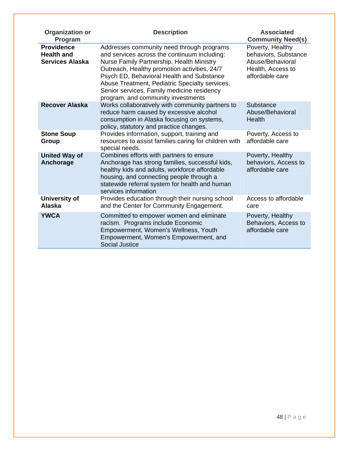| <b>Organization or</b><br>Program                                | <b>Description</b>                                                                                                                                                                                                                                                                                                                                                        | <b>Associated</b><br><b>Community Need(s)</b>                                                        |
|------------------------------------------------------------------|---------------------------------------------------------------------------------------------------------------------------------------------------------------------------------------------------------------------------------------------------------------------------------------------------------------------------------------------------------------------------|------------------------------------------------------------------------------------------------------|
| <b>Providence</b><br><b>Health and</b><br><b>Services Alaska</b> | Addresses community need through programs<br>and services across the continuum including:<br>Nurse Family Partnership, Health Ministry<br>Outreach, Healthy promotion activities, 24/7<br>Psych ED, Behavioral Health and Substance<br>Abuse Treatment, Pediatric Specialty services,<br>Senior services, Family medicine residency<br>program, and community investments | Poverty, Healthy<br>behaviors, Substance<br>Abuse/Behavioral<br>Health, Access to<br>affordable care |
| <b>Recover Alaska</b>                                            | Works collaboratively with community partners to<br>reduce harm caused by excessive alcohol<br>consumption in Alaska focusing on systems,<br>policy, statutory and practice changes.                                                                                                                                                                                      | Substance<br>Abuse/Behavioral<br>Health                                                              |
| <b>Stone Soup</b><br>Group                                       | Provides information, support, training and<br>resources to assist families caring for children with<br>special needs.                                                                                                                                                                                                                                                    | Poverty, Access to<br>affordable care                                                                |
| <b>United Way of</b><br>Anchorage                                | Combines efforts with partners to ensure<br>Anchorage has strong families, successful kids,<br>healthy kids and adults, workforce affordable<br>housing, and connecting people through a<br>statewide referral system for health and human<br>services information                                                                                                        | Poverty, Healthy<br>behaviors, Access to<br>affordable care                                          |
| <b>University of</b><br><b>Alaska</b>                            | Provides education through their nursing school<br>and the Center for Community Engagement.                                                                                                                                                                                                                                                                               | Access to affordable<br>care                                                                         |
| <b>YWCA</b>                                                      | Committed to empower women and eliminate<br>racism. Programs include Economic<br>Empowerment, Women's Wellness, Youth<br>Empowerment, Women's Empowerment, and<br><b>Social Justice</b>                                                                                                                                                                                   | Poverty, Healthy<br>Behaviors, Access to<br>affordable care                                          |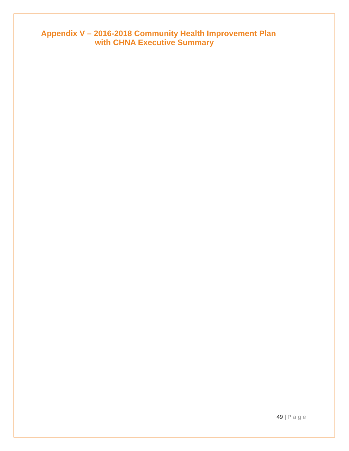**Appendix V – 2016-2018 Community Health Improvement Plan with CHNA Executive Summary** 

49 | Page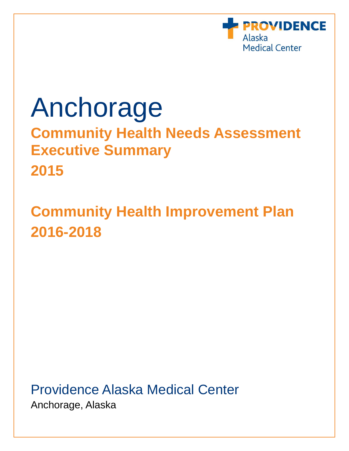

# Anchorage

**Community Health Needs Assessment Executive Summary 2015** 

# **Community Health Improvement Plan 2016-2018**

Providence Alaska Medical Center Anchorage, Alaska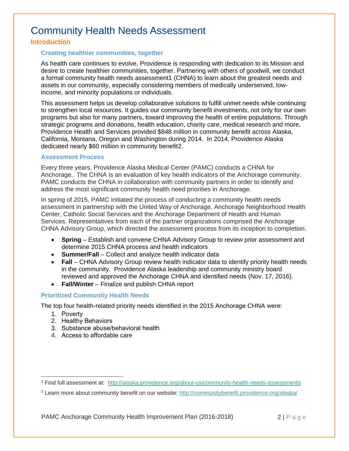# Community Health Needs Assessment

#### **Introduction**

#### **Creating healthier communities, together**

As health care continues to evolve, Providence is responding with dedication to its Mission and desire to create healthier communities, together. Partnering with others of goodwill, we conduct a formal community health needs assessment1 (CHNA) to learn about the greatest needs and assets in our community, especially considering members of medically underserved, lowincome, and minority populations or individuals.

This assessment helps us develop collaborative solutions to fulfill unmet needs while continuing to strengthen local resources. It guides our community benefit investments, not only for our own programs but also for many partners, toward improving the health of entire populations. Through strategic programs and donations, health education, charity care, medical research and more, Providence Health and Services provided \$848 million in community benefit across Alaska, California, Montana, Oregon and Washington during 2014. In 2014, Providence Alaska dedicated nearly \$60 million in community benefit2.

#### **Assessment Process**

Every three years, Providence Alaska Medical Center (PAMC) conducts a CHNA for Anchorage. The CHNA is an evaluation of key health indicators of the Anchorage community. PAMC conducts the CHNA in collaboration with community partners in order to identify and address the most significant community health need priorities in Anchorage.

In spring of 2015, PAMC initiated the process of conducting a community health needs assessment in partnership with the United Way of Anchorage, Anchorage Neighborhood Health Center, Catholic Social Services and the Anchorage Department of Health and Human Services. Representatives from each of the partner organizations comprised the Anchorage CHNA Advisory Group, which directed the assessment process from its inception to completion.

- **Spring** Establish and convene CHNA Advisory Group to review prior assessment and determine 2015 CHNA process and health indicators
- **Summer/Fall** Collect and analyze health indicator data
- **Fall** CHNA Advisory Group review health indicator data to identify priority health needs in the community. Providence Alaska leadership and community ministry board reviewed and approved the Anchorage CHNA and identified needs (Nov. 17, 2016).
- **Fall/Winter**  Finalize and publish CHNA report

#### **Prioritized Community Health Needs**

The top four health-related priority needs identified in the 2015 Anchorage CHNA were:

- 1. Poverty
- 2. Healthy Behaviors
- 3. Substance abuse/behavioral health
- 4. Access to affordable care

<sup>1</sup> Find full assessment at: http://alaska.providence.org/about-us/community-health-needs-assessments

<sup>2</sup> Learn more about community benefit on our website: http://communitybenefit.providence.org/alaska/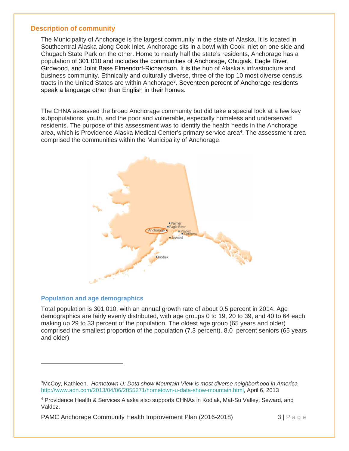#### **Description of community**

The Municipality of Anchorage is the largest community in the state of Alaska. It is located in Southcentral Alaska along Cook Inlet. Anchorage sits in a bowl with Cook Inlet on one side and Chugach State Park on the other. Home to nearly half the state's residents, Anchorage has a population of 301,010 and includes the communities of Anchorage, Chugiak, Eagle River, Girdwood, and Joint Base Elmendorf-Richardson. It is the hub of Alaska's infrastructure and business community. Ethnically and culturally diverse, three of the top 10 most diverse census tracts in the United States are within Anchorage<sup>3</sup>. Seventeen percent of Anchorage residents speak a language other than English in their homes.

The CHNA assessed the broad Anchorage community but did take a special look at a few key subpopulations: youth, and the poor and vulnerable, especially homeless and underserved residents. The purpose of this assessment was to identify the health needs in the Anchorage area, which is Providence Alaska Medical Center's primary service area<sup>4</sup>. The assessment area comprised the communities within the Municipality of Anchorage.



#### **Population and age demographics**

Total population is 301,010, with an annual growth rate of about 0.5 percent in 2014. Age demographics are fairly evenly distributed, with age groups 0 to 19, 20 to 39, and 40 to 64 each making up 29 to 33 percent of the population. The oldest age group (65 years and older) comprised the smallest proportion of the population (7.3 percent). 8.0 percent seniors (65 years and older)

PAMC Anchorage Community Health Improvement Plan (2016-2018) 3 | P a g e

<sup>3</sup>McCoy, Kathleen. *Hometown U: Data show Mountain View is most diverse neighborhood in America*  http://www.adn.com/2013/04/06/2855271/hometown-u-data-show-mountain.html, April 6, 2013

<sup>4</sup> Providence Health & Services Alaska also supports CHNAs in Kodiak, Mat-Su Valley, Seward, and Valdez.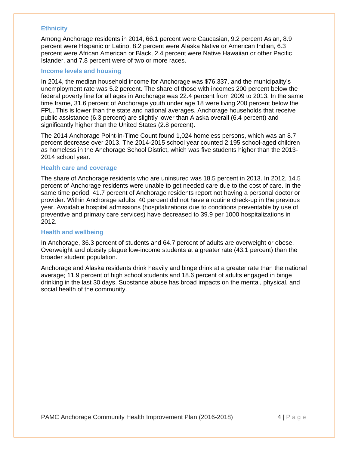#### **Ethnicity**

Among Anchorage residents in 2014, 66.1 percent were Caucasian, 9.2 percent Asian, 8.9 percent were Hispanic or Latino, 8.2 percent were Alaska Native or American Indian, 6.3 percent were African American or Black, 2.4 percent were Native Hawaiian or other Pacific Islander, and 7.8 percent were of two or more races.

#### **Income levels and housing**

In 2014, the median household income for Anchorage was \$76,337, and the municipality's unemployment rate was 5.2 percent. The share of those with incomes 200 percent below the federal poverty line for all ages in Anchorage was 22.4 percent from 2009 to 2013. In the same time frame, 31.6 percent of Anchorage youth under age 18 were living 200 percent below the FPL. This is lower than the state and national averages. Anchorage households that receive public assistance (6.3 percent) are slightly lower than Alaska overall (6.4 percent) and significantly higher than the United States (2.8 percent).

The 2014 Anchorage Point-in-Time Count found 1,024 homeless persons, which was an 8.7 percent decrease over 2013. The 2014-2015 school year counted 2,195 school-aged children as homeless in the Anchorage School District, which was five students higher than the 2013- 2014 school year.

#### **Health care and coverage**

The share of Anchorage residents who are uninsured was 18.5 percent in 2013. In 2012, 14.5 percent of Anchorage residents were unable to get needed care due to the cost of care. In the same time period, 41.7 percent of Anchorage residents report not having a personal doctor or provider. Within Anchorage adults, 40 percent did not have a routine check-up in the previous year. Avoidable hospital admissions (hospitalizations due to conditions preventable by use of preventive and primary care services) have decreased to 39.9 per 1000 hospitalizations in 2012.

#### **Health and wellbeing**

In Anchorage, 36.3 percent of students and 64.7 percent of adults are overweight or obese. Overweight and obesity plague low-income students at a greater rate (43.1 percent) than the broader student population.

Anchorage and Alaska residents drink heavily and binge drink at a greater rate than the national average; 11.9 percent of high school students and 18.6 percent of adults engaged in binge drinking in the last 30 days. Substance abuse has broad impacts on the mental, physical, and social health of the community.

PAMC Anchorage Community Health Improvement Plan (2016-2018) 4 | Page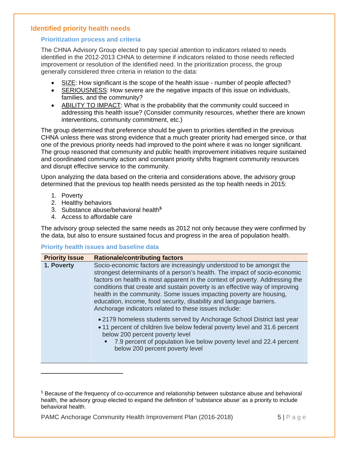#### **Identified priority health needs**

#### **Prioritization process and criteria**

The CHNA Advisory Group elected to pay special attention to indicators related to needs identified in the 2012-2013 CHNA to determine if indicators related to those needs reflected improvement or resolution of the identified need. In the prioritization process, the group generally considered three criteria in relation to the data:

- SIZE: How significant is the scope of the health issue number of people affected?
- SERIOUSNESS: How severe are the negative impacts of this issue on individuals, families, and the community?
- ABILITY TO IMPACT: What is the probability that the community could succeed in addressing this health issue? (Consider community resources, whether there are known interventions, community commitment, etc.)

The group determined that preference should be given to priorities identified in the previous CHNA unless there was strong evidence that a much greater priority had emerged since, or that one of the previous priority needs had improved to the point where it was no longer significant. The group reasoned that community and public health improvement initiatives require sustained and coordinated community action and constant priority shifts fragment community resources and disrupt effective service to the community.

Upon analyzing the data based on the criteria and considerations above, the advisory group determined that the previous top health needs persisted as the top health needs in 2015:

- 1. Poverty
- 2. Healthy behaviors
- 3. Substance abuse/behavioral health**<sup>5</sup>**
- 4. Access to affordable care

The advisory group selected the same needs as 2012 not only because they were confirmed by the data, but also to ensure sustained focus and progress in the area of population health.

#### **Priority health issues and baseline data**

| <b>Priority Issue</b> | <b>Rationale/contributing factors</b>                                                                                                                                                                                                                                                                                                                                                                                                                                                                                   |
|-----------------------|-------------------------------------------------------------------------------------------------------------------------------------------------------------------------------------------------------------------------------------------------------------------------------------------------------------------------------------------------------------------------------------------------------------------------------------------------------------------------------------------------------------------------|
| 1. Poverty            | Socio-economic factors are increasingly understood to be amongst the<br>strongest determinants of a person's health. The impact of socio-economic<br>factors on health is most apparent in the context of poverty. Addressing the<br>conditions that create and sustain poverty is an effective way of improving<br>health in the community. Some issues impacting poverty are housing,<br>education, income, food security, disability and language barriers.<br>Anchorage indicators related to these issues include: |
|                       | • 2179 homeless students served by Anchorage School District last year<br>• 11 percent of children live below federal poverty level and 31.6 percent<br>below 200 percent poverty level<br>7.9 percent of population live below poverty level and 22.4 percent<br>below 200 percent poverty level                                                                                                                                                                                                                       |

PAMC Anchorage Community Health Improvement Plan (2016-2018)  $\qquad 5 | P \text{ a q e}$ 

<sup>5</sup> Because of the frequency of co-occurrence and relationship between substance abuse and behavioral health, the advisory group elected to expand the definition of 'substance abuse' as a priority to include behavioral health.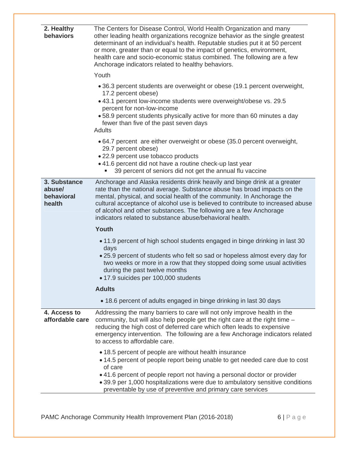| 2. Healthy<br>behaviors                        | The Centers for Disease Control, World Health Organization and many<br>other leading health organizations recognize behavior as the single greatest<br>determinant of an individual's health. Reputable studies put it at 50 percent<br>or more, greater than or equal to the impact of genetics, environment,<br>health care and socio-economic status combined. The following are a few<br>Anchorage indicators related to healthy behaviors.      |
|------------------------------------------------|------------------------------------------------------------------------------------------------------------------------------------------------------------------------------------------------------------------------------------------------------------------------------------------------------------------------------------------------------------------------------------------------------------------------------------------------------|
|                                                | Youth                                                                                                                                                                                                                                                                                                                                                                                                                                                |
|                                                | • 36.3 percent students are overweight or obese (19.1 percent overweight,<br>17.2 percent obese)<br>• 43.1 percent low-income students were overweight/obese vs. 29.5<br>percent for non-low-income<br>.58.9 percent students physically active for more than 60 minutes a day<br>fewer than five of the past seven days<br>Adults                                                                                                                   |
|                                                | • 64.7 percent are either overweight or obese (35.0 percent overweight,<br>29.7 percent obese)<br>• 22.9 percent use tobacco products<br>• 41.6 percent did not have a routine check-up last year<br>39 percent of seniors did not get the annual flu vaccine<br>٠                                                                                                                                                                                   |
| 3. Substance<br>abuse/<br>behavioral<br>health | Anchorage and Alaska residents drink heavily and binge drink at a greater<br>rate than the national average. Substance abuse has broad impacts on the<br>mental, physical, and social health of the community. In Anchorage the<br>cultural acceptance of alcohol use is believed to contribute to increased abuse<br>of alcohol and other substances. The following are a few Anchorage<br>indicators related to substance abuse/behavioral health. |
|                                                | Youth                                                                                                                                                                                                                                                                                                                                                                                                                                                |
|                                                | • 11.9 percent of high school students engaged in binge drinking in last 30<br>days<br>• 25.9 percent of students who felt so sad or hopeless almost every day for<br>two weeks or more in a row that they stopped doing some usual activities<br>during the past twelve months<br>• 17.9 suicides per 100,000 students                                                                                                                              |
|                                                | <b>Adults</b>                                                                                                                                                                                                                                                                                                                                                                                                                                        |
|                                                | • 18.6 percent of adults engaged in binge drinking in last 30 days                                                                                                                                                                                                                                                                                                                                                                                   |
| 4. Access to<br>affordable care                | Addressing the many barriers to care will not only improve health in the<br>community, but will also help people get the right care at the right time -<br>reducing the high cost of deferred care which often leads to expensive<br>emergency intervention. The following are a few Anchorage indicators related<br>to access to affordable care.                                                                                                   |
|                                                | • 18.5 percent of people are without health insurance<br>• 14.5 percent of people report being unable to get needed care due to cost<br>of care<br>• 41.6 percent of people report not having a personal doctor or provider<br>• 39.9 per 1,000 hospitalizations were due to ambulatory sensitive conditions<br>preventable by use of preventive and primary care services                                                                           |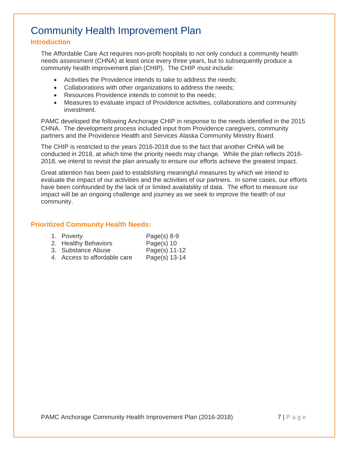# Community Health Improvement Plan

#### **Introduction**

The Affordable Care Act requires non-profit hospitals to not only conduct a community health needs assessment (CHNA) at least once every three years, but to subsequently produce a community health improvement plan (CHIP). The CHIP must include:

- Activities the Providence intends to take to address the needs;
- Collaborations with other organizations to address the needs;
- Resources Providence intends to commit to the needs;
- Measures to evaluate impact of Providence activities, collaborations and community investment.

PAMC developed the following Anchorage CHIP in response to the needs identified in the 2015 CHNA. The development process included input from Providence caregivers, community partners and the Providence Health and Services Alaska Community Ministry Board.

The CHIP is restricted to the years 2016-2018 due to the fact that another CHNA will be conducted in 2018, at which time the priority needs may change. While the plan reflects 2016- 2018, we intend to revisit the plan annually to ensure our efforts achieve the greatest impact.

Great attention has been paid to establishing meaningful measures by which we intend to evaluate the impact of our activities and the activities of our partners. In some cases, our efforts have been confounded by the lack of or limited availability of data. The effort to measure our impact will be an ongoing challenge and journey as we seek to improve the health of our community.

#### **Prioritized Community Health Needs:**

| 1. Poverty                   | Page $(s)$ 8-9 |
|------------------------------|----------------|
| 2. Healthy Behaviors         | Page $(s)$ 10  |
| 3. Substance Abuse           | Page(s) 11-12  |
| 4. Access to affordable care | Page(s) 13-14  |

PAMC Anchorage Community Health Improvement Plan (2016-2018) 7 | Page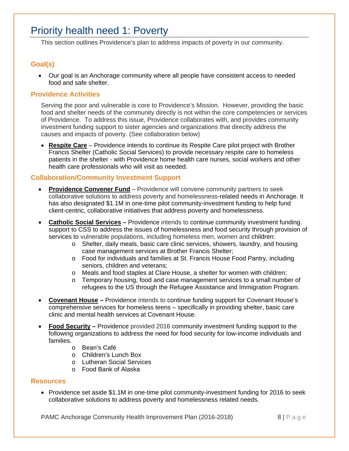# Priority health need 1: Poverty

This section outlines Providence's plan to address impacts of poverty in our community.

#### **Goal(s)**

 Our goal is an Anchorage community where all people have consistent access to needed food and safe shelter.

#### **Providence Activities**

Serving the poor and vulnerable is core to Providence's Mission. However, providing the basic food and shelter needs of the community directly is not within the core competencies or services of Providence. To address this issue, Providence collaborates with, and provides community investment funding support to sister agencies and organizations that directly address the causes and impacts of poverty. (See collaboration below)

 **Respite Care** – Providence intends to continue its Respite Care pilot project with Brother Francis Shelter (Catholic Social Services) to provide necessary respite care to homeless patients in the shelter - with Providence home health care nurses, social workers and other health care professionals who will visit as needed.

#### **Collaboration/Community Investment Support**

- **Providence Convener Fund** Providence will convene community partners to seek collaborative solutions to address poverty and homelessness-related needs in Anchorage. It has also designated \$1.1M in one-time pilot community-investment funding to help fund client-centric, collaborative initiatives that address poverty and homelessness.
- **Catholic Social Services** Providence intends to continue community investment funding. support to CSS to address the issues of homelessness and food security through provision of services to vulnerable populations, including homeless men, women and children:
	- o Shelter, daily meals, basic care clinic services, showers, laundry, and housing case management services at Brother Francis Shelter;
	- o Food for individuals and families at St. Francis House Food Pantry, including seniors, children and veterans;
	- o Meals and food staples at Clare House, a shelter for women with children;
	- o Temporary housing, food and case management services to a small number of refugees to the US through the Refugee Assistance and Immigration Program.
- **Covenant House** Providence intends to continue funding support for Covenant House's comprehensive services for homeless teens – specifically in providing shelter, basic care clinic and mental health services at Covenant House.
- **Food Security** Providence provided 2016 community investment funding support to the following organizations to address the need for food security for low-income individuals and families.
	- o Bean's Café
	- o Children's Lunch Box
	- o Lutheran Social Services
	- o Food Bank of Alaska

#### **Resources**

• Providence set aside \$1.1M in one-time pilot community-investment funding for 2016 to seek collaborative solutions to address poverty and homelessness related needs.

PAMC Anchorage Community Health Improvement Plan (2016-2018)  $8 | P \text{ a q e}$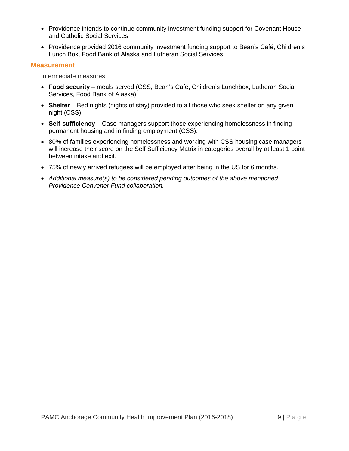- Providence intends to continue community investment funding support for Covenant House and Catholic Social Services
- Providence provided 2016 community investment funding support to Bean's Café, Children's Lunch Box, Food Bank of Alaska and Lutheran Social Services

#### **Measurement**

Intermediate measures

- **Food security** meals served (CSS, Bean's Café, Children's Lunchbox, Lutheran Social Services, Food Bank of Alaska)
- **Shelter** Bed nights (nights of stay) provided to all those who seek shelter on any given night (CSS)
- **Self-sufficiency** Case managers support those experiencing homelessness in finding permanent housing and in finding employment (CSS).
- 80% of families experiencing homelessness and working with CSS housing case managers will increase their score on the Self Sufficiency Matrix in categories overall by at least 1 point between intake and exit.
- 75% of newly arrived refugees will be employed after being in the US for 6 months.
- *Additional measure(s) to be considered pending outcomes of the above mentioned Providence Convener Fund collaboration.*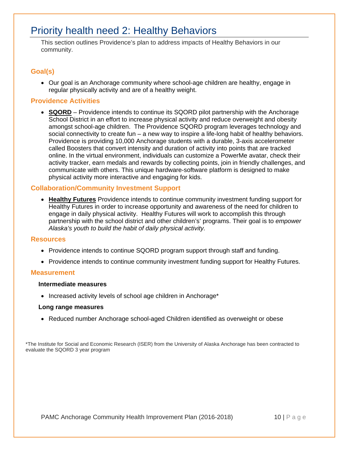# Priority health need 2: Healthy Behaviors

This section outlines Providence's plan to address impacts of Healthy Behaviors in our community.

## **Goal(s)**

 Our goal is an Anchorage community where school-age children are healthy, engage in regular physically activity and are of a healthy weight.

#### **Providence Activities**

 **SQORD** – Providence intends to continue its SQORD pilot partnership with the Anchorage School District in an effort to increase physical activity and reduce overweight and obesity amongst school-age children. The Providence SQORD program leverages technology and social connectivity to create fun – a new way to inspire a life-long habit of healthy behaviors. Providence is providing 10,000 Anchorage students with a durable, 3-axis accelerometer called Boosters that convert intensity and duration of activity into points that are tracked online. In the virtual environment, individuals can customize a PowerMe avatar, check their activity tracker, earn medals and rewards by collecting points, join in friendly challenges, and communicate with others. This unique hardware-software platform is designed to make physical activity more interactive and engaging for kids.

#### **Collaboration/Community Investment Support**

 **Healthy Futures** Providence intends to continue community investment funding support for Healthy Futures in order to increase opportunity and awareness of the need for children to engage in daily physical activity. Healthy Futures will work to accomplish this through partnership with the school district and other children's' programs. Their goal is to *empower Alaska's youth to build the habit of daily physical activity.*

#### **Resources**

- Providence intends to continue SQORD program support through staff and funding.
- Providence intends to continue community investment funding support for Healthy Futures.

#### **Measurement**

#### **Intermediate measures**

• Increased activity levels of school age children in Anchorage\*

#### **Long range measures**

Reduced number Anchorage school-aged Children identified as overweight or obese

\*The Institute for Social and Economic Research (ISER) from the University of Alaska Anchorage has been contracted to evaluate the SQORD 3 year program

PAMC Anchorage Community Health Improvement Plan (2016-2018) 10 | Page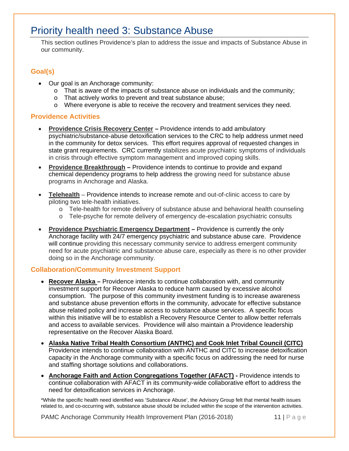# Priority health need 3: Substance Abuse

This section outlines Providence's plan to address the issue and impacts of Substance Abuse in our community.

## **Goal(s)**

- Our goal is an Anchorage community:
	- o That is aware of the impacts of substance abuse on individuals and the community;
	- o That actively works to prevent and treat substance abuse;
	- o Where everyone is able to receive the recovery and treatment services they need.

#### **Providence Activities**

- **Providence Crisis Recovery Center** Providence intends to add ambulatory psychiatric/substance-abuse detoxification services to the CRC to help address unmet need in the community for detox services. This effort requires approval of requested changes in state grant requirements. CRC currently stabilizes acute psychiatric symptoms of individuals in crisis through effective symptom management and improved coping skills.
- **Providence Breakthrough** Providence intends to continue to provide and expand chemical dependency programs to help address the growing need for substance abuse programs in Anchorage and Alaska.
- **Telehealth** Providence intends to increase remote and out-of-clinic access to care by piloting two tele-health initiatives.
	- o Tele-health for remote delivery of substance abuse and behavioral health counseling
	- o Tele-psyche for remote delivery of emergency de-escalation psychiatric consults
- **Providence Psychiatric Emergency Department** Providence is currently the only Anchorage facility with 24/7 emergency psychiatric and substance abuse care. Providence will continue providing this necessary community service to address emergent community need for acute psychiatric and substance abuse care, especially as there is no other provider doing so in the Anchorage community.

#### **Collaboration/Community Investment Support**

- **Recover Alaska** Providence intends to continue collaboration with, and community investment support for Recover Alaska to reduce harm caused by excessive alcohol consumption. The purpose of this community investment funding is to increase awareness and substance abuse prevention efforts in the community, advocate for effective substance abuse related policy and increase access to substance abuse services. A specific focus within this initiative will be to establish a Recovery Resource Center to allow better referrals and access to available services. Providence will also maintain a Providence leadership representative on the Recover Alaska Board.
- **Alaska Native Tribal Health Consortium (ANTHC) and Cook Inlet Tribal Council (CITC)**  Providence intends to continue collaboration with ANTHC and CITC to increase detoxification capacity in the Anchorage community with a specific focus on addressing the need for nurse and staffing shortage solutions and collaborations.
- **Anchorage Faith and Action Congregations Together (AFACT) Providence intends to** continue collaboration with AFACT in its community-wide collaborative effort to address the need for detoxification services in Anchorage.

\*While the specific health need identified was 'Substance Abuse', the Advisory Group felt that mental health issues related to, and co-occurring with, substance abuse should be included within the scope of the intervention activities.

PAMC Anchorage Community Health Improvement Plan (2016-2018) 11 | Page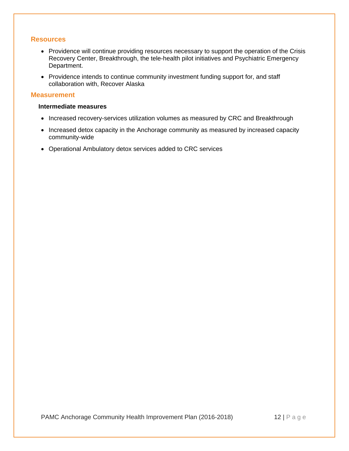#### **Resources**

- Providence will continue providing resources necessary to support the operation of the Crisis Recovery Center, Breakthrough, the tele-health pilot initiatives and Psychiatric Emergency Department.
- Providence intends to continue community investment funding support for, and staff collaboration with, Recover Alaska

#### **Measurement**

#### **Intermediate measures**

- Increased recovery-services utilization volumes as measured by CRC and Breakthrough
- Increased detox capacity in the Anchorage community as measured by increased capacity community-wide
- Operational Ambulatory detox services added to CRC services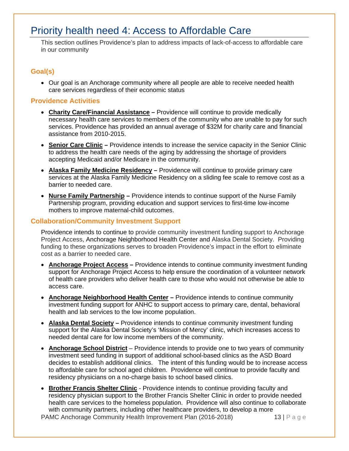# Priority health need 4: Access to Affordable Care

This section outlines Providence's plan to address impacts of lack-of-access to affordable care in our community

#### **Goal(s)**

• Our goal is an Anchorage community where all people are able to receive needed health care services regardless of their economic status

#### **Providence Activities**

- **Charity Care/Financial Assistance** Providence will continue to provide medically necessary health care services to members of the community who are unable to pay for such services. Providence has provided an annual average of \$32M for charity care and financial assistance from 2010-2015.
- **Senior Care Clinic** Providence intends to increase the service capacity in the Senior Clinic to address the health care needs of the aging by addressing the shortage of providers accepting Medicaid and/or Medicare in the community.
- **Alaska Family Medicine Residency** Providence will continue to provide primary care services at the Alaska Family Medicine Residency on a sliding fee scale to remove cost as a barrier to needed care.
- **Nurse Family Partnership** Providence intends to continue support of the Nurse Family Partnership program, providing education and support services to first-time low-income mothers to improve maternal-child outcomes.

#### **Collaboration/Community Investment Support**

Providence intends to continue to provide community investment funding support to Anchorage Project Access, Anchorage Neighborhood Health Center and Alaska Dental Society. Providing funding to these organizations serves to broaden Providence's impact in the effort to eliminate cost as a barrier to needed care.

- **Anchorage Project Access** Providence intends to continue community investment funding support for Anchorage Project Access to help ensure the coordination of a volunteer network of health care providers who deliver health care to those who would not otherwise be able to access care.
- **Anchorage Neighborhood Health Center** Providence intends to continue community investment funding support for ANHC to support access to primary care, dental, behavioral health and lab services to the low income population.
- **Alaska Dental Society** Providence intends to continue community investment funding support for the Alaska Dental Society's 'Mission of Mercy' clinic, which increases access to needed dental care for low income members of the community.
- **Anchorage School District** Providence intends to provide one to two years of community investment seed funding in support of additional school-based clinics as the ASD Board decides to establish additional clinics. The intent of this funding would be to increase access to affordable care for school aged children. Providence will continue to provide faculty and residency physicians on a no-charge basis to school based clinics.
- PAMC Anchorage Community Health Improvement Plan (2016-2018) 13 | P a g e **Brother Francis Shelter Clinic** - Providence intends to continue providing faculty and residency physician support to the Brother Francis Shelter Clinic in order to provide needed health care services to the homeless population. Providence will also continue to collaborate with community partners, including other healthcare providers, to develop a more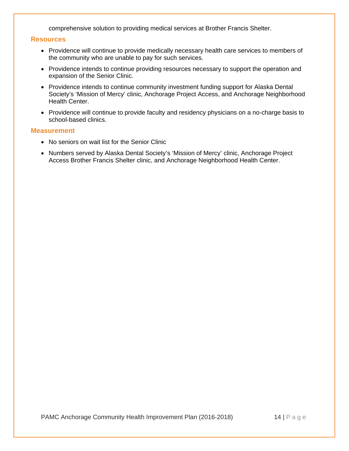comprehensive solution to providing medical services at Brother Francis Shelter.

#### **Resources**

- Providence will continue to provide medically necessary health care services to members of the community who are unable to pay for such services.
- Providence intends to continue providing resources necessary to support the operation and expansion of the Senior Clinic.
- Providence intends to continue community investment funding support for Alaska Dental Society's 'Mission of Mercy' clinic, Anchorage Project Access, and Anchorage Neighborhood Health Center.
- Providence will continue to provide faculty and residency physicians on a no-charge basis to school-based clinics.

#### **Measurement**

- No seniors on wait list for the Senior Clinic
- Numbers served by Alaska Dental Society's 'Mission of Mercy' clinic, Anchorage Project Access Brother Francis Shelter clinic, and Anchorage Neighborhood Health Center.